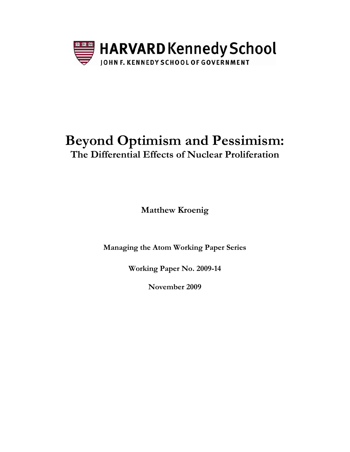

# **Beyond Optimism and Pessimism: The Differential Effects of Nuclear Proliferation**

**Matthew Kroenig** 

**Managing the Atom Working Paper Series** 

**Working Paper No. 2009-14** 

**November 2009**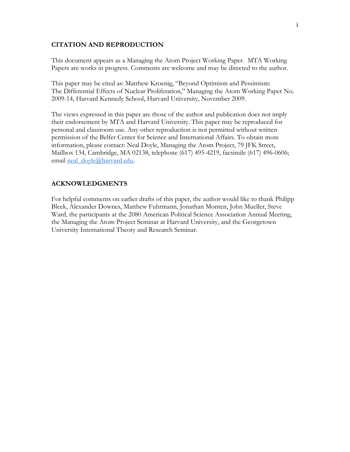# **CITATION AND REPRODUCTION**

This document appears as a Managing the Atom Project Working Paper. MTA Working Papers are works in progress. Comments are welcome and may be directed to the author.

This paper may be cited as: Matthew Kroenig, "Beyond Optimism and Pessimism: The Differential Effects of Nuclear Proliferation," Managing the Atom Working Paper No. 2009-14, Harvard Kennedy School, Harvard University, November 2009.

The views expressed in this paper are those of the author and publication does not imply their endorsement by MTA and Harvard University. This paper may be reproduced for personal and classroom use. Any other reproduction is not permitted without written permission of the Belfer Center for Science and International Affairs. To obtain more information, please contact: Neal Doyle, Managing the Atom Project, 79 JFK Street, Mailbox 134, Cambridge, MA 02138, telephone (617) 495-4219, facsimile (617) 496-0606; email neal\_doyle@harvard.edu.

# **ACKNOWLEDGMENTS**

For helpful comments on earlier drafts of this paper, the author would like to thank Philipp Bleek, Alexander Downes, Matthew Fuhrmann, Jonathan Monten, John Mueller, Steve Ward, the participants at the 2080 American Political Science Association Annual Meeting, the Managing the Atom Project Seminar at Harvard University, and the Georgetown University International Theory and Research Seminar.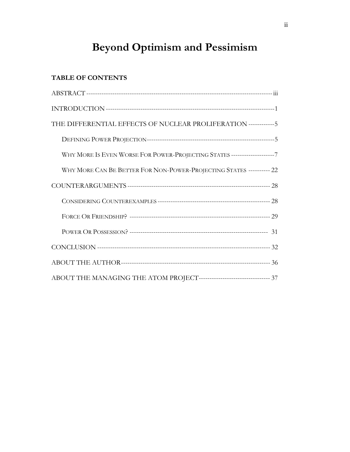# **Beyond Optimism and Pessimism**

# **TABLE OF CONTENTS**

| THE DIFFERENTIAL EFFECTS OF NUCLEAR PROLIFERATION -------------5          |  |
|---------------------------------------------------------------------------|--|
|                                                                           |  |
| WHY MORE IS EVEN WORSE FOR POWER-PROJECTING STATES----------------------7 |  |
| WHY MORE CAN BE BETTER FOR NON-POWER-PROJECTING STATES ---------- 22      |  |
|                                                                           |  |
|                                                                           |  |
|                                                                           |  |
|                                                                           |  |
|                                                                           |  |
|                                                                           |  |
|                                                                           |  |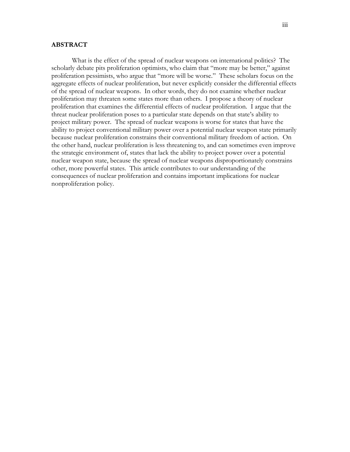#### **ABSTRACT**

What is the effect of the spread of nuclear weapons on international politics? The scholarly debate pits proliferation optimists, who claim that "more may be better," against proliferation pessimists, who argue that "more will be worse." These scholars focus on the aggregate effects of nuclear proliferation, but never explicitly consider the differential effects of the spread of nuclear weapons. In other words, they do not examine whether nuclear proliferation may threaten some states more than others. I propose a theory of nuclear proliferation that examines the differential effects of nuclear proliferation. I argue that the threat nuclear proliferation poses to a particular state depends on that state's ability to project military power. The spread of nuclear weapons is worse for states that have the ability to project conventional military power over a potential nuclear weapon state primarily because nuclear proliferation constrains their conventional military freedom of action. On the other hand, nuclear proliferation is less threatening to, and can sometimes even improve the strategic environment of, states that lack the ability to project power over a potential nuclear weapon state, because the spread of nuclear weapons disproportionately constrains other, more powerful states. This article contributes to our understanding of the consequences of nuclear proliferation and contains important implications for nuclear nonproliferation policy.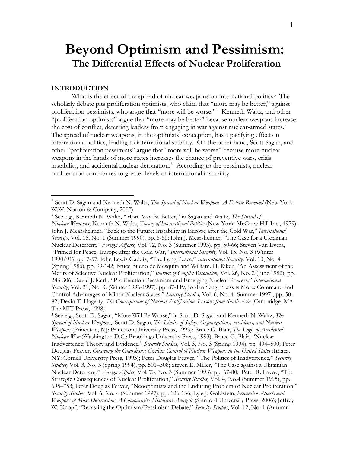# **Beyond Optimism and Pessimism: The Differential Effects of Nuclear Proliferation**

### **INTRODUCTION**

 $\overline{a}$ 

What is the effect of the spread of nuclear weapons on international politics? The scholarly debate pits proliferation optimists, who claim that "more may be better," against proliferation pessimists, who argue that "more will be worse."<sup>[1](#page-4-0)</sup> Kenneth Waltz, and other "proliferation optimists" argue that "more may be better" because nuclear weapons increase the cost of conflict, deterring leaders from engaging in war against nuclear-armed states.<sup>[2](#page-4-1)</sup> The spread of nuclear weapons, in the optimists' conception, has a pacifying effect on international politics, leading to international stability. On the other hand, Scott Sagan, and other "proliferation pessimists" argue that "more will be worse" because more nuclear weapons in the hands of more states increases the chance of preventive wars, crisis instability, and accidental nuclear detonation.<sup>[3](#page-4-2)</sup> According to the pessimists, nuclear proliferation contributes to greater levels of international instability.

<span id="page-4-0"></span><sup>1</sup> Scott D. Sagan and Kenneth N. Waltz, *The Spread of Nuclear Weapons: A Debate Renewed* (New York: W.W. Norton & Company, 2002).

<span id="page-4-1"></span><sup>2</sup> See e.g., Kenneth N. Waltz, "More May Be Better," in Sagan and Waltz, *The Spread of Nuclear Weapons*; Kenneth N. Waltz, *Theory of International Politics* (New York: McGraw Hill Inc., 1979); John J. Mearsheimer, "Back to the Future: Instability in Europe after the Cold War," *International Security*, Vol. 15, No. 1 (Summer 1990), pp. 5-56; John J. Mearsheimer, "The Case for a Ukrainian Nuclear Deterrent," *Foreign Affairs,* Vol. 72, No. 3 (Summer 1993), pp. 50-66; Steven Van Evera, "Primed for Peace: Europe after the Cold War," *International Security,* Vol. 15, No. 3 (Winter 1990/91), pp. 7-57; John Lewis Gaddis, "The Long Peace," *International Security,* Vol. 10, No. 4 (Spring 1986), pp. 99-142; Bruce Bueno de Mesquita and William. H. Riker, "An Assessment of the Merits of Selective Nuclear Proliferation," *Journal of Conflict Resolution,* Vol. 26, No. 2 (June 1982), pp. 283-306; David J. Karl , "[Proliferation Pessimism and Emerging Nuclear Powers,](http://www.jstor.org.ezp2.harvard.edu/view/01622889/di008157/00p00052/0?frame=noframe&dpi=3&userID=80673cc8@harvard.edu/01c0a8346800501d43247&backcontext=page&backurl=/cgi-bin/jstor/viewitem/01622889/di008157/00p00052/17%3fframe%3dnoframe%26dpi%3d3%26userID%3d80673cc8@harvard.edu/01c0a8346800501d43247%26config%3djstor%26PAGE%3d17&config=jstor&PAGE=0)" *International Security*, Vol. 21, No. 3. (Winter 1996-1997), pp. 87-119; Jordan Seng, "Less is More: Command and Control Advantages of Minor Nuclear States," *Security Studies,* Vol. 6, No. 4 (Summer 1997), pp. 50- 92; Devin T. Hagerty, *The Consequences of Nuclear Proliferation: Lessons from South Asia* (Cambridge, MA: The MIT Press, 1998).

<span id="page-4-2"></span><sup>3</sup> See e.g., Scott D. Sagan, "More Will Be Worse," in Scott D. Sagan and Kenneth N. Waltz, *The Spread of Nuclear Weapons*; Scott D. Sagan, *The Limits of Safety: Organizations, Accidents, and Nuclear Weapons* (Princeton, NJ: Princeton University Press, 1993); Bruce G. Blair, *The Logic of Accidental Nuclear War* (Washington D.C.: Brookings University Press, 1993); Bruce G. Blair, "Nuclear Inadvertence: Theory and Evidence," *Security Studies,* Vol. 3, No. 3 (Spring 1994), pp. 494–500; Peter Douglas Feaver, *Guarding the Guardians: Civilian Control of Nuclear Weapons in the United States* (Ithaca, NY: Cornell University Press, 1993); Peter Douglas Feaver, "The Politics of Inadvertence," *Security Studies,* Vol. 3, No. 3 (Spring 1994), pp. 501–508; Steven E. Miller, "The Case against a Ukrainian Nuclear Deterrent," *Foreign Affairs*, Vol. 73, No. 3 (Summer 1993), pp. 67-80; Peter R. Lavoy, "The Strategic Consequences of Nuclear Proliferation," *Security Studies,* Vol. 4, No.4 (Summer 1995), pp. 695–753; Peter Douglas Feaver, "Neooptimists and the Enduring Problem of Nuclear Proliferation," *Security Studies,* Vol. 6, No. 4 (Summer 1997), pp. 126-136; Lyle J. Goldstein, *Preventive Attack and Weapons of Mass Destruction: A Comparative Historical Analysis* (Stanford University Press, 2006); Jeffrey W. Knopf, "Recasting the Optimism/Pessimism Debate," *Security Studies*, Vol. 12, No. 1 (Autumn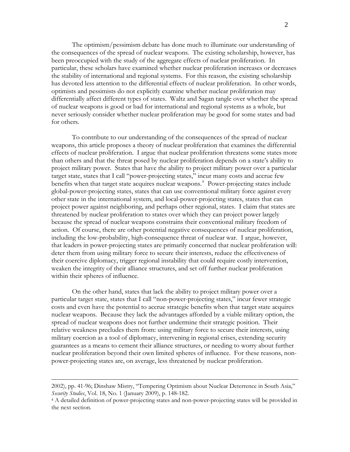The optimism/pessimism debate has done much to illuminate our understanding of the consequences of the spread of nuclear weapons. The existing scholarship, however, has been preoccupied with the study of the aggregate effects of nuclear proliferation. In particular, these scholars have examined whether nuclear proliferation increases or decreases the stability of international and regional systems. For this reason, the existing scholarship has devoted less attention to the differential effects of nuclear proliferation. In other words, optimists and pessimists do not explicitly examine whether nuclear proliferation may differentially affect different types of states. Waltz and Sagan tangle over whether the spread of nuclear weapons is good or bad for international and regional systems as a whole, but never seriously consider whether nuclear proliferation may be good for some states and bad for others.

To contribute to our understanding of the consequences of the spread of nuclear weapons, this article proposes a theory of nuclear proliferation that examines the differential effects of nuclear proliferation. I argue that nuclear proliferation threatens some states more than others and that the threat posed by nuclear proliferation depends on a state's ability to project military power. States that have the ability to project military power over a particular target state, states that I call "power-projecting states," incur many costs and accrue few benefits when that target state acquires nuclear weapons.<sup>[4](#page-5-0)</sup> Power-projecting states include global-power-projecting states, states that can use conventional military force against every other state in the international system, and local-power-projecting states, states that can project power against neighboring, and perhaps other regional, states. I claim that states are threatened by nuclear proliferation to states over which they can project power largely because the spread of nuclear weapons constrains their conventional military freedom of action. Of course, there are other potential negative consequences of nuclear proliferation, including the low-probability, high-consequence threat of nuclear war. I argue, however, that leaders in power-projecting states are primarily concerned that nuclear proliferation will: deter them from using military force to secure their interests, reduce the effectiveness of their coercive diplomacy, trigger regional instability that could require costly intervention, weaken the integrity of their alliance structures, and set off further nuclear proliferation within their spheres of influence.

On the other hand, states that lack the ability to project military power over a particular target state, states that I call "non-power-projecting states," incur fewer strategic costs and even have the potential to accrue strategic benefits when that target state acquires nuclear weapons. Because they lack the advantages afforded by a viable military option, the spread of nuclear weapons does not further undermine their strategic position. Their relative weakness precludes them from: using military force to secure their interests, using military coercion as a tool of diplomacy, intervening in regional crises, extending security guarantees as a means to cement their alliance structures, or needing to worry about further nuclear proliferation beyond their own limited spheres of influence. For these reasons, nonpower-projecting states are, on average, less threatened by nuclear proliferation.

1

<sup>2002),</sup> pp. 41-96; Dinshaw Mistry, "Tempering Optimism about Nuclear Deterrence in South Asia," *Security Studies*, Vol. 18, No. 1 (January 2009), p. 148-182.

<span id="page-5-0"></span><sup>4</sup> A detailed definition of power-projecting states and non-power-projecting states will be provided in the next section.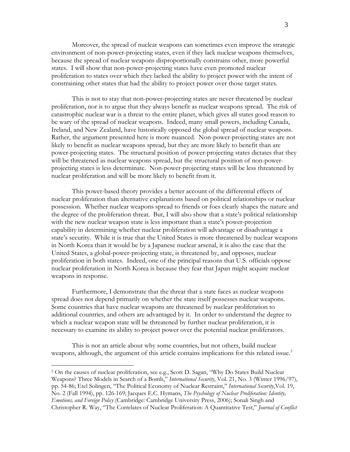Moreover, the spread of nuclear weapons can sometimes even improve the strategic environment of non-power-projecting states, even if they lack nuclear weapons themselves, because the spread of nuclear weapons disproportionally constrains other, more powerful states. I will show that non-power-projecting states have even promoted nuclear proliferation to states over which they lacked the ability to project power with the intent of constraining other states that had the ability to project power over those target states.

This is not to stay that non-power-projecting states are never threatened by nuclear proliferation, nor is to argue that they always benefit as nuclear weapons spread. The risk of catastrophic nuclear war is a threat to the entire planet, which gives all states good reason to be wary of the spread of nuclear weapons. Indeed, many small powers, including Canada, Ireland, and New Zealand, have historically opposed the global spread of nuclear weapons. Rather, the argument presented here is more nuanced. Non-power-projecting states are not likely to benefit as nuclear weapons spread, but they are more likely to benefit than are power-projecting states. The structural position of power-projecting states dictates that they will be threatened as nuclear weapons spread, but the structural position of non-powerprojecting states is less determinate. Non-power-projecting states will be less threatened by nuclear proliferation and will be more likely to benefit from it.

This power-based theory provides a better account of the differential effects of nuclear proliferation than alternative explanations based on political relationships or nuclear possession. Whether nuclear weapons spread to friends or foes clearly shapes the nature and the degree of the proliferation threat. But, I will also show that a state's political relationship with the new nuclear weapon state is less important than a state's power-projection capability in determining whether nuclear proliferation will advantage or disadvantage a state's security. While it is true that the United States is more threatened by nuclear weapons in North Korea than it would be by a Japanese nuclear arsenal, it is also the case that the United States, a global-power-projecting state, is threatened by, and opposes, nuclear proliferation in both states. Indeed, one of the principal reasons that U.S. officials oppose nuclear proliferation in North Korea is because they fear that Japan might acquire nuclear weapons in response.

Furthermore, I demonstrate that the threat that a state faces as nuclear weapons spread does not depend primarily on whether the state itself possesses nuclear weapons. Some countries that have nuclear weapons are threatened by nuclear proliferation to additional countries, and others are advantaged by it. In order to understand the degree to which a nuclear weapon state will be threatened by further nuclear proliferation, it is necessary to examine its ability to project power over the potential nuclear proliferators.

This is not an article about why some countries, but not others, build nuclear weapons, although, the argument of this article contains implications for this related issue.<sup>[5](#page-6-0)</sup>

<span id="page-6-0"></span><sup>5</sup> On the causes of nuclear proliferation, see e.g., Scott D. Sagan, "Why Do States Build Nuclear Weapons? Three Models in Search of a Bomb," *International Security*, Vol. 21, No. 3 (Winter 1996/97), pp. 54-86; Etel Solingen, "The Political Economy of Nuclear Restraint," *International Security*,Vol. 19, No. 2 (Fall 1994), pp. 126-169; Jacques E.C. Hymans, *The Psychology of Nuclear Proliferation: Identity, Emotions, and Foreign Policy* (Cambridge: Cambridge University Press, 2006); Sonali Singh and Christopher R. Way, "The Correlates of Nuclear Proliferation: A Quantitative Test," *Journal of Conflict*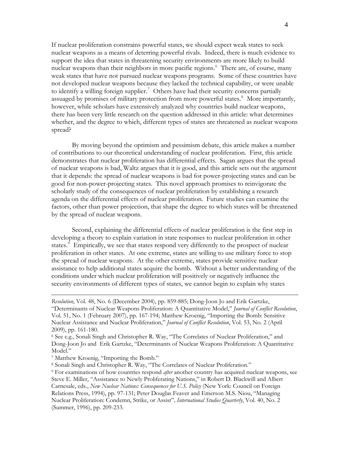If nuclear proliferation constrains powerful states, we should expect weak states to seek nuclear weapons as a means of deterring powerful rivals. Indeed, there is much evidence to support the idea that states in threatening security environments are more likely to build nuclear weapons than their neighbors in more pacific regions.<sup>[6](#page-7-0)</sup> There are, of course, many weak states that have not pursued nuclear weapons programs. Some of these countries have not developed nuclear weapons because they lacked the technical capability, or were unable to identify a willing foreign supplier.<sup>[7](#page-7-1)</sup> Others have had their security concerns partially assuaged by promises of military protection from more powerful states.<sup>[8](#page-7-2)</sup> More importantly, however, while scholars have extensively analyzed why countries build nuclear weapons, there has been very little research on the question addressed in this article: what determines whether, and the degree to which, different types of states are threatened as nuclear weapons spread?

By moving beyond the optimism and pessimism debate, this article makes a number of contributions to our theoretical understanding of nuclear proliferation. First, this article demonstrates that nuclear proliferation has differential effects. Sagan argues that the spread of nuclear weapons is bad, Waltz argues that it is good, and this article sets out the argument that it depends: the spread of nuclear weapons is bad for power-projecting states and can be good for non-power-projecting states. This novel approach promises to reinvigorate the scholarly study of the consequences of nuclear proliferation by establishing a research agenda on the differential effects of nuclear proliferation. Future studies can examine the factors, other than power projection, that shape the degree to which states will be threatened by the spread of nuclear weapons.

Second, explaining the differential effects of nuclear proliferation is the first step in developing a theory to explain variation in state responses to nuclear proliferation in other states.<sup>[9](#page-7-3)</sup> Empirically, we see that states respond very differently to the prospect of nuclear proliferation in other states. At one extreme, states are willing to use military force to stop the spread of nuclear weapons. At the other extreme, states provide sensitive nuclear assistance to help additional states acquire the bomb. Without a better understanding of the conditions under which nuclear proliferation will positively or negatively influence the security environments of different types of states, we cannot begin to explain why states

<span id="page-7-1"></span>7 Matthew Kroenig, "Importing the Bomb."

 $\overline{a}$ 

<span id="page-7-2"></span>8 Sonali Singh and Christopher R. Way, "The Correlates of Nuclear Proliferation."

*Resolution*, Vol. 48, No. 6 (December 2004), pp. 859-885; Dong-Joon Jo and Erik Gartzke, "Determinants of Nuclear Weapons Proliferation: A Quantitative Model," *Journal of Conflict Resolution*, Vol. 51, No. 1 (February 2007), pp. 167-194; Matthew Kroenig, "Importing the Bomb: Sensitive Nuclear Assistance and Nuclear Proliferation," *Journal of Conflict Resolution*, Vol. 53, No. 2 (April 2009), pp. 161-180.

<span id="page-7-0"></span><sup>6</sup> See e.g., Sonali Singh and Christopher R. Way, "The Correlates of Nuclear Proliferation," and Dong-Joon Jo and Erik Gartzke, "Determinants of Nuclear Weapons Proliferation: A Quantitative Model."

<span id="page-7-3"></span><sup>9</sup> For examinations of how countries respond *after* another country has acquired nuclear weapons, see Steve E. Miller, "Assistance to Newly Proliferating Nations," in Robert D. Blackwill and Albert Carnesale, eds., *New Nuclear Nations: Consequences for U.S. Policy* (New York: Council on Foreign Relations Press, 1994), pp. 97-131; Peter Douglas Feaver and Emerson M.S. Niou, "Managing Nuclear Proliferation: Condemn, Strike, or Assist"*, International Studies Quarterly*, Vol. 40, No. 2 (Summer, 1996), pp. 209-233.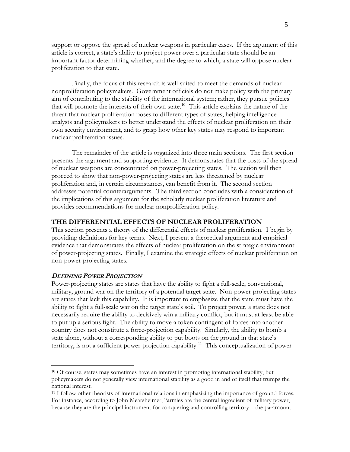support or oppose the spread of nuclear weapons in particular cases. If the argument of this article is correct, a state's ability to project power over a particular state should be an important factor determining whether, and the degree to which, a state will oppose nuclear proliferation to that state.

Finally, the focus of this research is well-suited to meet the demands of nuclear nonproliferation policymakers. Government officials do not make policy with the primary aim of contributing to the stability of the international system; rather, they pursue policies that will promote the interests of their own state.<sup>[10](#page-8-0)</sup> This article explains the nature of the threat that nuclear proliferation poses to different types of states, helping intelligence analysts and policymakers to better understand the effects of nuclear proliferation on their own security environment, and to grasp how other key states may respond to important nuclear proliferation issues.

The remainder of the article is organized into three main sections. The first section presents the argument and supporting evidence. It demonstrates that the costs of the spread of nuclear weapons are concentrated on power-projecting states. The section will then proceed to show that non-power-projecting states are less threatened by nuclear proliferation and, in certain circumstances, can benefit from it. The second section addresses potential counterarguments. The third section concludes with a consideration of the implications of this argument for the scholarly nuclear proliferation literature and provides recommendations for nuclear nonproliferation policy.

### **THE DIFFERENTIAL EFFECTS OF NUCLEAR PROLIFERATION**

This section presents a theory of the differential effects of nuclear proliferation. I begin by providing definitions for key terms. Next, I present a theoretical argument and empirical evidence that demonstrates the effects of nuclear proliferation on the strategic environment of power-projecting states. Finally, I examine the strategic effects of nuclear proliferation on non-power-projecting states.

#### **DEFINING POWER PROJECTION**

 $\overline{a}$ 

Power-projecting states are states that have the ability to fight a full-scale, conventional, military, ground war on the territory of a potential target state. Non-power-projecting states are states that lack this capability. It is important to emphasize that the state must have the ability to fight a full-scale war on the target state's soil. To project power, a state does not necessarily require the ability to decisively win a military conflict, but it must at least be able to put up a serious fight. The ability to move a token contingent of forces into another country does not constitute a force-projection capability. Similarly, the ability to bomb a state alone, without a corresponding ability to put boots on the ground in that state's territory, is not a sufficient power-projection capability.<sup>[11](#page-8-1)</sup> This conceptualization of power

<span id="page-8-0"></span><sup>&</sup>lt;sup>10</sup> Of course, states may sometimes have an interest in promoting international stability, but policymakers do not generally view international stability as a good in and of itself that trumps the national interest.

<span id="page-8-1"></span><sup>11</sup> I follow other theorists of international relations in emphasizing the importance of ground forces. For instance, according to John Mearsheimer, "armies are the central ingredient of military power, because they are the principal instrument for conquering and controlling territory—the paramount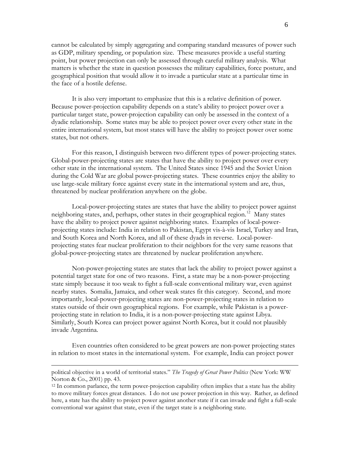cannot be calculated by simply aggregating and comparing standard measures of power such as GDP, military spending, or population size. These measures provide a useful starting point, but power projection can only be assessed through careful military analysis. What matters is whether the state in question possesses the military capabilities, force posture, and geographical position that would allow it to invade a particular state at a particular time in the face of a hostile defense.

It is also very important to emphasize that this is a relative definition of power. Because power-projection capability depends on a state's ability to project power over a particular target state, power-projection capability can only be assessed in the context of a dyadic relationship. Some states may be able to project power over every other state in the entire international system, but most states will have the ability to project power over some states, but not others.

For this reason, I distinguish between two different types of power-projecting states. Global-power-projecting states are states that have the ability to project power over every other state in the international system. The United States since 1945 and the Soviet Union during the Cold War are global power-projecting states. These countries enjoy the ability to use large-scale military force against every state in the international system and are, thus, threatened by nuclear proliferation anywhere on the globe.

Local-power-projecting states are states that have the ability to project power against neighboring states, and, perhaps, other states in their geographical region.<sup>[12](#page-9-0)</sup> Many states have the ability to project power against neighboring states. Examples of local-powerprojecting states include: India in relation to Pakistan, Egypt vis-à-vis Israel, Turkey and Iran, and South Korea and North Korea, and all of these dyads in reverse. Local-powerprojecting states fear nuclear proliferation to their neighbors for the very same reasons that global-power-projecting states are threatened by nuclear proliferation anywhere.

Non-power-projecting states are states that lack the ability to project power against a potential target state for one of two reasons. First, a state may be a non-power-projecting state simply because it too weak to fight a full-scale conventional military war, even against nearby states. Somalia, Jamaica, and other weak states fit this category. Second, and more importantly, local-power-projecting states are non-power-projecting states in relation to states outside of their own geographical regions. For example, while Pakistan is a powerprojecting state in relation to India, it is a non-power-projecting state against Libya. Similarly, South Korea can project power against North Korea, but it could not plausibly invade Argentina.

Even countries often considered to be great powers are non-power projecting states in relation to most states in the international system. For example, India can project power

1

political objective in a world of territorial states." *The Tragedy of Great Power Politics* (New York: WW Norton & Co., 2001) pp. 43.

<span id="page-9-0"></span><sup>&</sup>lt;sup>12</sup> In common parlance, the term power-projection capability often implies that a state has the ability to move military forces great distances. I do not use power projection in this way. Rather, as defined here, a state has the ability to project power against another state if it can invade and fight a full-scale conventional war against that state, even if the target state is a neighboring state.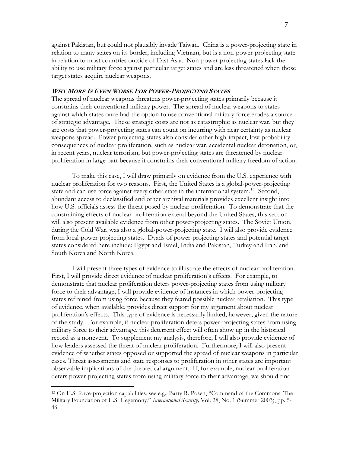against Pakistan, but could not plausibly invade Taiwan. China is a power-projecting state in relation to many states on its border, including Vietnam, but is a non-power-projecting state in relation to most countries outside of East Asia. Non-power-projecting states lack the ability to use military force against particular target states and are less threatened when those target states acquire nuclear weapons.

# **WHY MORE IS EVEN WORSE FOR POWER-PROJECTING STATES**

The spread of nuclear weapons threatens power-projecting states primarily because it constrains their conventional military power. The spread of nuclear weapons to states against which states once had the option to use conventional military force erodes a source of strategic advantage. These strategic costs are not as catastrophic as nuclear war, but they are costs that power-projecting states can count on incurring with near certainty as nuclear weapons spread. Power-projecting states also consider other high-impact, low-probability consequences of nuclear proliferation, such as nuclear war, accidental nuclear detonation, or, in recent years, nuclear terrorism, but power-projecting states are threatened by nuclear proliferation in large part because it constrains their conventional military freedom of action.

To make this case, I will draw primarily on evidence from the U.S. experience with nuclear proliferation for two reasons. First, the United States is a global-power-projecting state and can use force against every other state in the international system.<sup>[13](#page-10-0)</sup> Second, abundant access to declassified and other archival materials provides excellent insight into how U.S. officials assess the threat posed by nuclear proliferation. To demonstrate that the constraining effects of nuclear proliferation extend beyond the United States, this section will also present available evidence from other power-projecting states. The Soviet Union, during the Cold War, was also a global-power-projecting state. I will also provide evidence from local-power-projecting states. Dyads of power-projecting states and potential target states considered here include: Egypt and Israel, India and Pakistan, Turkey and Iran, and South Korea and North Korea.

I will present three types of evidence to illustrate the effects of nuclear proliferation. First, I will provide direct evidence of nuclear proliferation's effects. For example, to demonstrate that nuclear proliferation deters power-projecting states from using military force to their advantage, I will provide evidence of instances in which power-projecting states refrained from using force because they feared possible nuclear retaliation. This type of evidence, when available, provides direct support for my argument about nuclear proliferation's effects. This type of evidence is necessarily limited, however, given the nature of the study. For example, if nuclear proliferation deters power-projecting states from using military force to their advantage, this deterrent effect will often show up in the historical record as a nonevent. To supplement my analysis, therefore, I will also provide evidence of how leaders assessed the threat of nuclear proliferation. Furthermore, I will also present evidence of whether states opposed or supported the spread of nuclear weapons in particular cases. Threat assessments and state responses to proliferation in other states are important observable implications of the theoretical argument. If, for example, nuclear proliferation deters power-projecting states from using military force to their advantage, we should find

<span id="page-10-0"></span><sup>13</sup> On U.S. force-projection capabilities, see e.g., Barry R. Posen, "Command of the Commons: The Military Foundation of U.S. Hegemony," *International Security,* Vol. 28, No. 1 (Summer 2003), pp. 5- 46.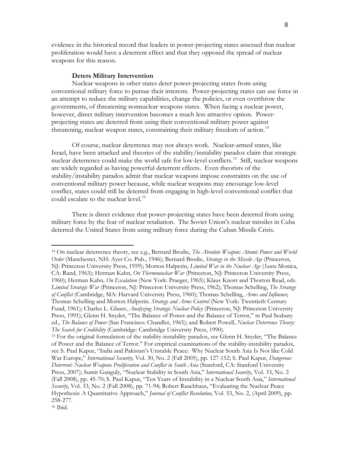evidence in the historical record that leaders in power-projecting states assessed that nuclear proliferation would have a deterrent effect and that they opposed the spread of nuclear weapons for this reason.

#### **Deters Military Intervention**

Nuclear weapons in other states deter power-projecting states from using conventional military force to pursue their interests. Power-projecting states can use force in an attempt to reduce the military capabilities, change the policies, or even overthrow the governments, of threatening nonnuclear weapons states. When facing a nuclear power, however, direct military intervention becomes a much less attractive option. Powerprojecting states are deterred from using their conventional military power against threatening, nuclear weapon states, constraining their military freedom of action.<sup>[14](#page-11-0)</sup>

Of course, nuclear deterrence may not always work. Nuclear-armed states, like Israel, have been attacked and theories of the stability/instability paradox claim that strategic nuclear deterrence could make the world safe for low-level conflicts.<sup>[15](#page-11-1)</sup> Still, nuclear weapons are widely regarded as having powerful deterrent effects. Even theorists of the stability/instability paradox admit that nuclear weapons impose constraints on the use of conventional military power because, while nuclear weapons may encourage low-level conflict, states could still be deterred from engaging in high-level conventional conflict that could escalate to the nuclear level.<sup>[16](#page-11-2)</sup>

There is direct evidence that power-projecting states have been deterred from using military force by the fear of nuclear retaliation. The Soviet Union's nuclear missiles in Cuba deterred the United States from using military force during the Cuban Missile Crisis.

<span id="page-11-0"></span><sup>14</sup> On nuclear deterrence theory, see e.g., Bernard Brodie, *The Absolute Weapon: Atomic Power and World Order* (Manchester, NH: Ayer Co. Pub., 1946); Bernard Brodie, *Strategy in the Missile Age* (Princeton, NJ: Princeton University Press, 1959); Morton Halperin, *Limited War in the Nuclear Age* (*Santa* Monica, CA: Rand, 1963); Herman Kahn, *On Thermonuclear War* (Princeton, NJ: Princeton University Press, 1960); Herman Kahn, *On Escalation* (New York: Praeger, 1965); Klaus Knorr and Thorton Read, eds. *Limited Strategic War* (Princeton, NJ: Princeton University Press, 1962); Thomas Schelling, *The Strategy of Conflict* (Cambridge, MA: Harvard University Press, 1960); Thomas Schelling, *Arms and Influence*; Thomas Schelling and Morton Halperin. *Strategy and Arms Control* (New York: Twentieth Century Fund, 1961); Charles L. Glaser, *Analyzing Strategic Nuclear Policy* (Princeton, NJ: Princeton University Press, 1991); Glenn H. Snyder, "The Balance of Power and the Balance of Terror," in Paul Seabury ed., *The Balance of Power* (San Francisco: Chandler, 1965); and Robert Powell, *Nuclear Deterrence Theory: The Search for Credibility* (Cambridge: Cambridge University Press, 1990).

<span id="page-11-2"></span><span id="page-11-1"></span><sup>15</sup> For the original formulation of the stability-instability paradox, see Glenn H. Snyder, "The Balance of Power and the Balance of Terror." For empirical examinations of the stability-instability paradox, see S. Paul Kapur, "India and Pakistan's Unstable Peace: Why Nuclear South Asia Is Not like Cold War Europe," *International Security,* Vol. 30, No. 2 (Fall 2005), pp. 127-152; S. Paul Kapur, *Dangerous Deterrent: Nuclear Weapons Proliferation and Conflict in South Asia* (Stanford, CA: Stanford University Press, 2007); Sumit Ganguly, "Nuclear Stability in South Asia," *International Security*, Vol. 33, No. 2 (Fall 2008), pp. 45-70; S. Paul Kapur, "Ten Years of Instability in a Nuclear South Asia," *International Security*, Vol. 33, No. 2 (Fall 2008), pp. 71-94; Robert Rauchhaus, "Evaluating the Nuclear Peace Hypothesis: A Quantitative Approach," *Journal of Conflict Resolution*, Vol. 53, No. 2, (April 2009), pp. 258-277.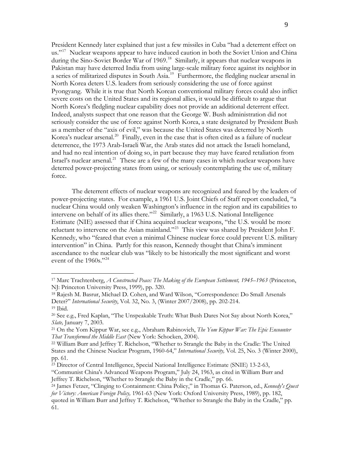President Kennedy later explained that just a few missiles in Cuba "had a deterrent effect on us."<sup>[17](#page-12-0)</sup> Nuclear weapons appear to have induced caution in both the Soviet Union and China during the Sino-Soviet Border War of 1969.<sup>[18](#page-12-1)</sup> Similarly, it appears that nuclear weapons in Pakistan may have deterred India from using large-scale military force against its neighbor in a series of militarized disputes in South Asia.<sup>[19](#page-12-2)</sup> Furthermore, the fledgling nuclear arsenal in North Korea deters U.S. leaders from seriously considering the use of force against Pyongyang. While it is true that North Korean conventional military forces could also inflict severe costs on the United States and its regional allies, it would be difficult to argue that North Korea's fledgling nuclear capability does not provide an additional deterrent effect. Indeed, analysts suspect that one reason that the George W. Bush administration did not seriously consider the use of force against North Korea, a state designated by President Bush as a member of the "axis of evil," was because the United States was deterred by North Korea's nuclear arsenal.<sup>[20](#page-12-3)</sup> Finally, even in the case that is often cited as a failure of nuclear deterrence, the 1973 Arab-Israeli War, the Arab states did not attack the Israeli homeland, and had no real intention of doing so, in part because they may have feared retaliation from Israel's nuclear arsenal.<sup>[21](#page-12-4)</sup> These are a few of the many cases in which nuclear weapons have deterred power-projecting states from using, or seriously contemplating the use of, military force.

The deterrent effects of nuclear weapons are recognized and feared by the leaders of power-projecting states. For example, a 1961 U.S. Joint Chiefs of Staff report concluded, "a nuclear China would only weaken Washington's influence in the region and its capabilities to intervene on behalf of its allies there."<sup>[22](#page-12-5)</sup> Similarly, a 1963 U.S. National Intelligence Estimate (NIE) assessed that if China acquired nuclear weapons, "the U.S. would be more reluctant to intervene on the Asian mainland."<sup>[23](#page-12-6)</sup> This view was shared by President John F. Kennedy, who "feared that even a minimal Chinese nuclear force could prevent U.S . military intervention" in China. Partly for this reason, Kennedy thought that China's imminent ascendance to the nuclear club was "likely to be historically the most significant and worst event of the 1960s."<sup>[24](#page-12-7)</sup>

1

<span id="page-12-6"></span>23 Director of Central Intelligence, Special National Intelligence Estimate (SNIE) 13-2-63,

<span id="page-12-0"></span><sup>17</sup> Marc Trachtenberg, *A Constructed Peace: The Making of the European Settlement, 1945–1963* (Princeton, NJ: Princeton University Press, 1999), pp. 320.

<span id="page-12-1"></span><sup>18</sup> Rajesh M. Basrur, Michael D. Cohen, and Ward Wilson, "Correspondence: Do Small Arsenals Deter?" *International Security*, Vol. 32, No. 3, (Winter 2007/2008), pp. 202-214. 19 Ibid.

<span id="page-12-3"></span><span id="page-12-2"></span><sup>20</sup> See e.g., Fred Kaplan, "The Unspeakable Truth: What Bush Dares Not Say about North Korea," *Slate,* January 7, 2003. 21 On the Yom Kippur War, see e.g., Abraham Rabinovich, *The Yom Kippur War: The Epic Encounter* 

<span id="page-12-4"></span>*That Transformed the Middle East* (New York: Schocken, 2004). 22 William Burr and Jeffrey T. Richelson, "Whether to Strangle the Baby in the Cradle: The United

<span id="page-12-5"></span>States and the Chinese Nuclear Program, 1960-64," *International Security,* Vol. 25, No. 3 (Winter 2000), pp. 61.

<sup>&</sup>quot;Communist China's Advanced Weapons Program," July 24, 1963, as cited in William Burr and Jeffrey T. Richelson, "Whether to Strangle the Baby in the Cradle," pp. 66.

<span id="page-12-7"></span><sup>24</sup> James Fetzer, "Clinging to Containment: China Policy," in Thomas G. Paterson, ed., *Kennedy's Quest for Victory: American Foreign Policy,* 1961-63 (New York: Oxford University Press, 1989), pp. 182, quoted in William Burr and Jeffrey T. Richelson, "Whether to Strangle the Baby in the Cradle," pp. 61.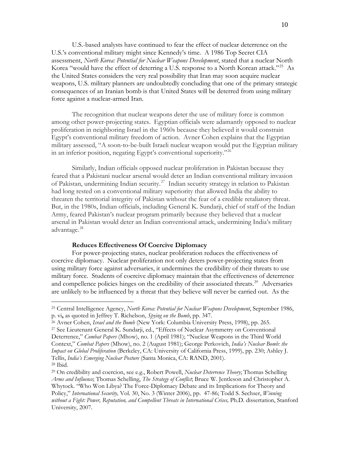U.S.-based analysts have continued to fear the effect of nuclear deterrence on the U.S.'s conventional military might since Kennedy's time. A 1986 Top Secret CIA assessment, *North Korea: Potential for Nuclear Weapons Development*, stated that a nuclear North Korea "would have the effect of deterring a U.S. response to a North Korean attack."<sup>[25](#page-13-0)</sup> As the United States considers the very real possibility that Iran may soon acquire nuclear weapons, U.S. military planners are undoubtedly concluding that one of the primary strategic consequences of an Iranian bomb is that United States will be deterred from using military force against a nuclear-armed Iran.

The recognition that nuclear weapons deter the use of military force is common among other power-projecting states. Egyptian officials were adamantly opposed to nuclear proliferation in neighboring Israel in the 1960s because they believed it would constrain Egypt's conventional military freedom of action. Avner Cohen explains that the Egyptian military assessed, "A soon-to-be-built Israeli nuclear weapon would put the Egyptian military in an inferior position, negating Egypt's conventional superiority."[26](#page-13-1)

Similarly, Indian officials opposed nuclear proliferation in Pakistan because they feared that a Pakistani nuclear arsenal would deter an Indian conventional military invasion of Pakistan, undermining Indian security.<sup>[27](#page-13-2)</sup> Indian security strategy in relation to Pakistan had long rested on a conventional military superiority that allowed India the ability to threaten the territorial integrity of Pakistan without the fear of a credible retaliatory threat. But, in the 1980s, Indian officials, including General K. Sundarji, chief of staff of the Indian Army, feared Pakistan's nuclear program primarily because they believed that a nuclear arsenal in Pakistan would deter an Indian conventional attack, undermining India's military advantage.<sup>[28](#page-13-3)</sup>

#### **Reduces Effectiveness Of Coercive Diplomacy**

 $\overline{a}$ 

For power-projecting states, nuclear proliferation reduces the effectiveness of coercive diplomacy. Nuclear proliferation not only deters power-projecting states from using military force against adversaries, it undermines the credibility of their threats to use military force. Students of coercive diplomacy maintain that the effectiveness of deterrence and compellence policies hinges on the credibility of their associated threats.<sup>[29](#page-13-4)</sup> Adversaries are unlikely to be influenced by a threat that they believe will never be carried out. As the

<span id="page-13-0"></span><sup>25</sup> Central Intelligence Agency, *North Korea: Potential for Nuclear Weapons Development*, September 1986, p. vi**,** as quoted in Jeffrey T. Richelson, *Spying on the Bomb*, pp. 347.

<span id="page-13-1"></span><sup>26</sup> Avner Cohen, *Israel and the Bomb* (New York: Columbia University Press, 1998), pp. 265.

<span id="page-13-2"></span><sup>27</sup> See Lieutenant General K. Sundarji, ed., "Effects of Nuclear Asymmetry on Conventional Deterrence," *Combat Papers* (Mhow), no. 1 (April 1981); "Nuclear Weapons in the Third World Context," *Combat Papers* (Mhow), no. 2 (August 1981); George Perkovich, *India's Nuclear Bomb: the Impact on Global Proliferation* (Berkeley, CA: University of California Press, 1999), pp. 230; Ashley J. Tellis, *India's Emerging Nuclear Posture* (Santa Monica, CA: RAND, 2001). 28 Ibid.

<span id="page-13-4"></span><span id="page-13-3"></span><sup>29</sup> On credibility and coercion, see e.g., Robert Powell, *Nuclear Deterrence Theory*; Thomas Schelling *Arms and Influence*; Thomas Schelling, *The Strategy of Conflict*; Bruce W. Jentleson and Christopher A. Whytock. "Who Won Libya? The Force-Diplomacy Debate and its Implications for Theory and Policy," *International Security,* Vol. 30, No. 3 (Winter 2006), pp. 47-86; Todd S. Sechser, *Winning without a Fight: Power, Reputation, and Compellent Threats in International Crises,* Ph.D. dissertation, Stanford University, 2007.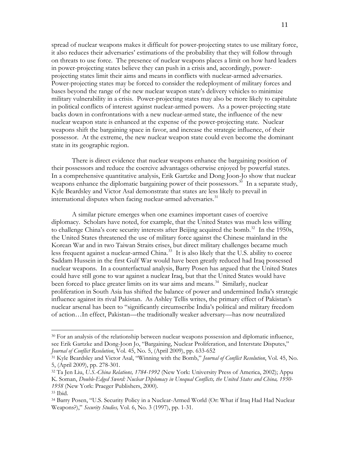spread of nuclear weapons makes it difficult for power-projecting states to use military force, it also reduces their adversaries' estimations of the probability that they will follow through on threats to use force. The presence of nuclear weapons places a limit on how hard leaders in power-projecting states believe they can push in a crisis and, accordingly, powerprojecting states limit their aims and means in conflicts with nuclear-armed adversaries. Power-projecting states may be forced to consider the redeployment of military forces and bases beyond the range of the new nuclear weapon state's delivery vehicles to minimize military vulnerability in a crisis. Power-projecting states may also be more likely to capitulate in political conflicts of interest against nuclear-armed powers. As a power-projecting state backs down in confrontations with a new nuclear-armed state, the influence of the new nuclear weapon state is enhanced at the expense of the power-projecting state. Nuclear weapons shift the bargaining space in favor, and increase the strategic influence, of their possessor. At the extreme, the new nuclear weapon state could even become the dominant state in its geographic region.

There is direct evidence that nuclear weapons enhance the bargaining position of their possessors and reduce the coercive advantages otherwise enjoyed by powerful states. In a comprehensive quantitative analysis, Erik Gartzke and Dong Joon-Jo show that nuclear weapons enhance the diplomatic bargaining power of their possessors.<sup> $30$ </sup> In a separate study, Kyle Beardsley and Victor Asal demonstrate that states are less likely to prevail in international disputes when facing nuclear-armed adversaries.<sup>[31](#page-14-1)</sup>

A similar picture emerges when one examines important cases of coercive diplomacy. Scholars have noted, for example, that the United States was much less willing to challenge China's core security interests after Beijing acquired the bomb.<sup>[32](#page-14-2)</sup> In the 1950s, the United States threatened the use of military force against the Chinese mainland in the Korean War and in two Taiwan Straits crises, but direct military challenges became much less frequent against a nuclear-armed China.<sup>[33](#page-14-3)</sup> It is also likely that the U.S. ability to coerce Saddam Hussein in the first Gulf War would have been greatly reduced had Iraq possessed nuclear weapons. In a counterfactual analysis, Barry Posen has argued that the United States could have still gone to war against a nuclear Iraq, but that the United States would have been forced to place greater limits on its war aims and means.<sup>[34](#page-14-4)</sup> Similarly, nuclear proliferation in South Asia has shifted the balance of power and undermined India's strategic influence against its rival Pakistan. As Ashley Tellis writes, the primary effect of Pakistan's nuclear arsenal has been to "significantly circumscribe India's political and military freedom of action…In effect, Pakistan—the traditionally weaker adversary—has now neutralized

<span id="page-14-0"></span><sup>&</sup>lt;sup>30</sup> For an analysis of the relationship between nuclear weapons possession and diplomatic influence, see Erik Gartzke and Dong-Joon Jo, "Bargaining, Nuclear Proliferation, and Interstate Disputes," *Journal of Conflict Resolution*, Vol. 45, No. 5, (April 2009), pp. 633-652

<span id="page-14-1"></span><sup>31</sup> Kyle Beardsley and Victor Asal, "Winning with the Bomb," *Journal of Conflict Resolution*, Vol. 45, No. 5, (April 2009), pp. 278-301.

<span id="page-14-2"></span><sup>32</sup> Ta Jen Liu, *U.S.-China Relations, 1784-1992* (New York: University Press of America, 2002); Appu K. Soman, *Double-Edged Sword: Nuclear Diplomacy in Unequal Conflicts, the United States and China, 1950- 1958* (New York: Praeger Publishers, 2000).

<span id="page-14-4"></span><span id="page-14-3"></span><sup>33</sup> Ibid.

<sup>34</sup> Barry Posen, "U.S. Security Policy in a Nuclear-Armed World (Or: What if Iraq Had Had Nuclear Weapons?)," *Security Studies,* Vol. 6, No. 3 (1997), pp. 1-31.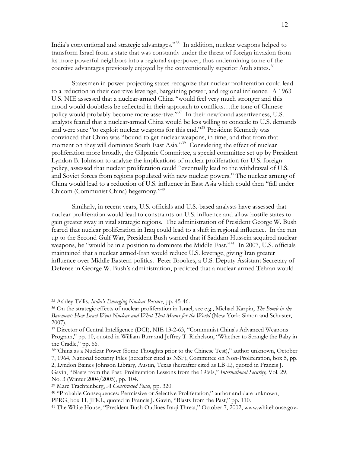India's conventional and strategic advantages."<sup>[35](#page-15-0)</sup> In addition, nuclear weapons helped to transform Israel from a state that was constantly under the threat of foreign invasion from its more powerful neighbors into a regional superpower, thus undermining some of the coercive advantages previously enjoyed by the conventionally superior Arab states.<sup>[36](#page-15-1)</sup>

Statesmen in power-projecting states recognize that nuclear proliferation could lead to a reduction in their coercive leverage, bargaining power, and regional influence. A 1963 U.S. NIE assessed that a nuclear-armed China "would feel very much stronger and this mood would doubtless be reflected in their approach to conflicts…the tone of Chinese policy would probably become more assertive."[37](#page-15-2) In their newfound assertiveness, U.S. analysts feared that a nuclear-armed China would be less willing to concede to U.S. demands and were sure "to exploit nuclear weapons for this end."<sup>[38](#page-15-3)</sup> President Kennedy was convinced that China was "bound to get nuclear weapons, in time, and that from that moment on they will dominate South East Asia."<sup>[39](#page-15-4)</sup> Considering the effect of nuclear proliferation more broadly, the Gilpatric Committee, a special committee set up by Pre sident Lyndon B. Johnson to analyze the implications of nuclear proliferation for U.S. foreign policy, assessed that nuclear proliferation could "eventually lead to the withdrawal of U.S. and Soviet forces from regions populated with new nuclear powers." The nuclear arming of China would lead to a reduction of U.S. influence in East Asia which could then "fa ll under Chicom (Communist China) hegemony."<sup>40</sup>

Similarly, in recent years, U.S. officials and U.S.-based analysts have assessed that nuclear proliferation would lead to constraints on U.S. influence and allow hostile states to gain greater sway in vital strategic regions. The administration of President George W. Bush feared that nuclear proliferation in Iraq could lead to a shift in regional influence. In the run up to the Second Gulf War, President Bush warned that if Saddam Hussein acquired nuclear weapons, he "would be in a position to dominate the Middle East."<sup>[41](#page-15-5)</sup> In 2007, U.S. officials maintained that a nuclear armed-Iran would reduce U.S. leverage, giving Iran greater influence over Middle Eastern politics. Peter Brookes, a U.S. Deputy Assistant Secretary of Defense in George W. Bush's administration, predicted that a nuclear-armed Tehran would

1

<span id="page-15-0"></span><sup>35</sup> Ashley Tellis, *India's Emerging Nuclear Posture*, pp. 45-46.

<span id="page-15-1"></span><sup>36</sup> On the strategic effects of nuclear proliferation in Israel, see e.g., Michael Karpin, *The Bomb in the Basement: How Israel Went Nuclear and What That Means for the World* (New York: Simon and Schuster, 2007).

<span id="page-15-2"></span><sup>37</sup> Director of Central Intelligence (DCI), NIE 13-2-63, "Communist China's Advanced Weapons Program," pp. 10, quoted in William Burr and Jeffrey T. Richelson, "Whether to Strangle the Baby in the Cradle," pp. 66.

<span id="page-15-3"></span><sup>38&</sup>quot;China as a Nuclear Power (Some Thoughts prior to the Chinese Test)," author unknown, October 7, 1964, National Security Files (hereafter cited as NSF), Committee on Non-Proliferation, box 5, pp.

<sup>2,</sup> Lyndon Baines Johnson Library, Austin, Texas (hereafter cited as LBJL), quoted in Francis J. Gavin, "Blasts from the Past: Proliferation Lessons from the 1960s," *International Security,* Vol. 29, No. 3 (Winter 2004/2005), pp. 104.

<span id="page-15-4"></span><sup>39</sup> Marc Trachtenberg, *A Constructed Peace,* pp. 320.

<sup>40 &</sup>quot;Probable Consequences: Permissive or Selective Proliferation," author and date unknown, PPRG, box 11, JFKL, quoted in Francis J. Gavin, "Blasts from the Past," pp. 110.

<span id="page-15-5"></span><sup>41</sup> The White House, "President Bush Outlines Iraqi Threat," October 7, 2002, www.whitehouse.gov**.**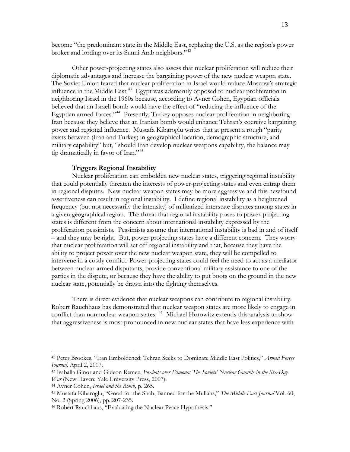become "the predominant state in the Middle East, replacing the U.S. as the region's power broker and lording over its Sunni Arab neighbors."<sup>[42](#page-16-0)</sup>

Other power-projecting states also assess that nuclear proliferation will reduce their diplomatic advantages and increase the bargaining power of the new nuclear weapon state. The Soviet Union feared that nuclear proliferation in Israel would reduce Moscow's strategic influence in the Middle East.<sup>[43](#page-16-1)</sup> Egypt was adamantly opposed to nuclear proliferation in neighboring Israel in the 1960s because, according to Avner Cohen, Egyptian officials believed that an Israeli bomb would have the effect of "reducing the influence of the Egyptian armed forces."[44](#page-16-2) Presently, Turkey opposes nuclear proliferation in neighboring Iran because they believe that an Iranian bomb would enhance Tehran's coercive bargaining power and regional influence. Mustafa Kibaroglu writes that at present a rough "parity exists between (Iran and Turkey) in geographical location, demographic structure, and military capability" but, "should Iran develop nuclear weapons capability, the balance may tip dramatically in favor of Iran."<sup>[45](#page-16-3)</sup>

#### **Triggers Regional Instability**

Nuclear proliferation can embolden new nuclear states, triggering regional instability that could potentially threaten the interests of power-projecting states and even entrap them in regional disputes. New nuclear weapon states may be more aggressive and this newfound assertiveness can result in regional instability. I define regional instability as a heightened frequency (but not necessarily the intensity) of militarized interstate disputes among states in a given geographical region. The threat that regional instability poses to power-projecting states is different from the concern about international instability expressed by the proliferation pessimists. Pessimists assume that international instability is bad in and of itself – and they may be right. But, power-projecting states have a different concern. They worry that nuclear proliferation will set off regional instability and that, because they have the ability to project power over the new nuclear weapon state, they will be compelled to intervene in a costly conflict. Power-projecting states could feel the need to act as a mediator between nuclear-armed disputants, provide conventional military assistance to one of the parties in the dispute, or because they have the ability to put boots on the ground in the new nuclear state, potentially be drawn into the fighting themselves.

There is direct evidence that nuclear weapons can contribute to regional instability. Robert Rauchhaus has demonstrated that nuclear weapon states are more likely to engage in conflict than nonnuclear weapon states.<sup>[46](#page-16-4)</sup> Michael Horowitz extends this analysis to show that aggressiveness is most pronounced in new nuclear states that have less experience with

1

<span id="page-16-0"></span><sup>42</sup> Peter Brookes, "Iran Emboldened: Tehran Seeks to Dominate Middle East Politics," *Armed Forces Journal,* April 2, 2007.

<span id="page-16-1"></span><sup>43</sup> Isaballa Ginor and Gideon Remez, *Foxbats over Dimona: The Soviets' Nuclear Gamble in the Six-Day War* (New Haven: Yale University Press, 2007).

<span id="page-16-2"></span><sup>44</sup> Avner Cohen, *Israel and the Bomb,* p. 265.

<span id="page-16-3"></span><sup>45</sup> Mustafa Kibaroglu, "Good for the Shah, Banned for the Mullahs," *The Middle East Journal* Vol. 60, No. 2 (Spring 2006), pp. 207-235.

<span id="page-16-4"></span><sup>46</sup> Robert Rauchhaus, "Evaluating the Nuclear Peace Hypothesis."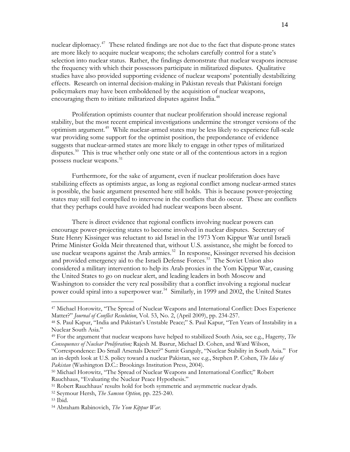nuclear diplomacy.<sup>[47](#page-17-0)</sup> These related findings are not due to the fact that dispute-prone states are more likely to acquire nuclear weapons; the scholars carefully control for a state's selection into nuclear status. Rather, the findings demonstrate that nuclear weapons increase the frequency with which their possessors participate in militarized disputes. Qualitative studies have also provided supporting evidence of nuclear weapons' potentially destabilizing effects. Research on internal decision-making in Pakistan reveals that Pakistani foreign policymakers may have been emboldened by the acquisition of nuclear weapons, encouraging them to initiate militarized disputes against India.<sup>[48](#page-17-1)</sup>

Proliferation optimists counter that nuclear proliferation should increase regional stability, but the most recent empirical investigations undermine the stronger versions of the optimism argument.[49](#page-17-2) While nuclear-armed states may be less likely to experience full-scale war providing some support for the optimist position, the preponderance of evidence suggests that nuclear-armed states are more likely to engage in other types of militarized disputes.<sup>[50](#page-17-3)</sup> This is true whether only one state or all of the contentious actors in a region possess nuclear weapons.<sup>[51](#page-17-4)</sup>

Furthermore, for the sake of argument, even if nuclear proliferation does have stabilizing effects as optimists argue, as long as regional conflict among nuclear-armed states is possible, the basic argument presented here still holds. This is because power-projecting states may still feel compelled to intervene in the conflicts that do occur. These are conflicts that they perhaps could have avoided had nuclear weapons been absent.

There is direct evidence that regional conflicts involving nuclear powers can encourage power-projecting states to become involved in nuclear disputes. Secretary of State Henry Kissinger was reluctant to aid Israel in the 1973 Yom Kippur War until Israeli Prime Minister Golda Meir threatened that, without U.S. assistance, she might be forced to use nuclear weapons against the Arab armies.<sup>52</sup> In response, Kissinger reversed his decision and provided emergency aid to the Israeli Defense Forces.<sup>[53](#page-17-6)</sup> The Soviet Union also considered a military intervention to help its Arab proxies in the Yom Kippur War, causing the United States to go on nuclear alert, and leading leaders in both Moscow and Washington to consider the very real possibility that a conflict involving a regional nuclear power could spiral into a superpower war.<sup>[54](#page-17-7)</sup> Similarly, in 1999 and 2002, the United States

<span id="page-17-0"></span><sup>47</sup> Michael Horowitz, "The Spread of Nuclear Weapons and International Conflict: Does Experience Matter?" *Journal of Conflict Resolution*, Vol. 53, No. 2, (April 2009), pp. 234-257.

<span id="page-17-1"></span><sup>48</sup> S. Paul Kapur, "India and Pakistan's Unstable Peace;" S. Paul Kapur, "Ten Years of Instability in a Nuclear South Asia."

<span id="page-17-2"></span><sup>49</sup> For the argument that nuclear weapons have helped to stabilized South Asia, see e.g., Hagerty, *The Consequences of Nuclear Proliferation;* Rajesh M. Basrur, Michael D. Cohen, and Ward Wilson,

<sup>&</sup>quot;Correspondence: Do Small Arsenals Deter?" Sumit Ganguly, "Nuclear Stability in South Asia." For an in-depth look at U.S. policy toward a nuclear Pakistan, see e.g., Stephen P. Cohen, *The Idea of Pakistan* (Washington D.C.: Brookings Institution Press, 2004).

<span id="page-17-3"></span><sup>50</sup> Michael Horowitz, "The Spread of Nuclear Weapons and International Conflict;" Robert Rauchhaus, "Evaluating the Nuclear Peace Hypothesis."

<span id="page-17-5"></span><span id="page-17-4"></span><sup>51</sup> Robert Rauchhaus' results hold for both symmetric and asymmetric nuclear dyads.

<sup>52</sup> Seymour Hersh, *The Samson Option,* pp. 225-240.

<span id="page-17-6"></span><sup>53</sup> Ibid.

<span id="page-17-7"></span><sup>54</sup> Abraham Rabinovich, *The Yom Kippur War*.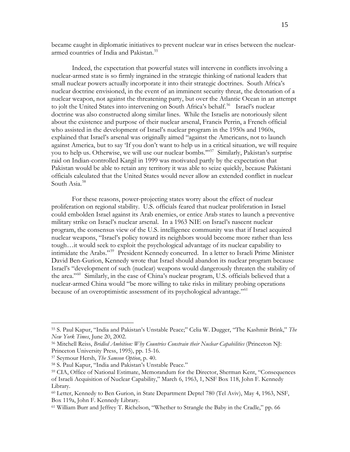became caught in diplomatic initiatives to prevent nuclear war in crises between the nuclear-armed countries of India and Pakistan.<sup>[55](#page-18-0)</sup>

Indeed, the expectation that powerful states will intervene in conflicts involving a nuclear-armed state is so firmly ingrained in the strategic thinking of national leaders that small nuclear powers actually incorporate it into their strategic doctrines. South Africa's nuclear doctrine envisioned, in the event of an imminent security threat, the detonation of a nuclear weapon, not against the threatening party, but over the Atlantic Ocean in an attempt to jolt the United States into intervening on South Africa's behalf.<sup>[56](#page-18-1)</sup> Israel's nuclear doctrine was also constructed along similar lines. While the Israelis are notoriously silent about the existence and purpose of their nuclear arsenal, Francis Perrin, a French official who assisted in the development of Israel's nuclear program in the 1950s and 1960s, explained that Israel's arsenal was originally aimed "against the Americans, not to launch against America, but to say 'If you don't want to help us in a critical situation, we will require you to help us. Otherwise, we will use our nuclear bombs."<sup>[57](#page-18-2)</sup> Similarly, Pakistan's surprise officials calculated that the United States would never allow an extended conflict in nuclear South Asia. 58 raid on Indian-controlled Kargil in 1999 was motivated partly by the expectation that Pakistan would be able to retain any territory it was able to seize quickly, because Pakistani

could embolden Israel against its Arab enemies, or entice Arab states to launch a preventive nuclear weapons, "Israel's policy toward its neighbors would become more rather than less Israel's "development of such (nuclear) weapons would dangerously threaten the stability of nuclear-armed China would "be more willing to take risks in military probing operations because of an overoptimistic assessment of its psychological advantage."<sup>61</sup> For these reasons, power-projecting states worry about the effect of nuclear proliferation on regional stability. U.S. officials feared that nuclear proliferation in Israel military strike on Israel's nuclear arsenal. In a 1963 NIE on Israel's nascent nuclear program, the consensus view of the U.S. intelligence community was that if Israel acquired tough…it would seek to exploit the psychological advantage of its nuclear capability to intimidate the Arabs."[59](#page-18-3) President Kennedy concurred. In a letter to Israeli Prime Minister David Ben-Gurion, Kennedy wrote that Israel should abandon its nuclear program because the area."<sup>[60](#page-18-4)</sup> Similarly, in the case of China's nuclear program, U.S. officials believed that a

<span id="page-18-0"></span><sup>55</sup> S. Paul Kapur, "India and Pakistan's Unstable Peace;" Celia W. Dugger, "The Kashmir Brink," *The New York Times*, June 20, 2002.

<span id="page-18-1"></span><sup>56</sup> Mitchell Reiss, *Bridled Ambition: Why Countries Constrain their Nuclear Capabilities* (Princeton NJ: Princeton University Press, 1995), pp. 15-16.

<span id="page-18-2"></span><sup>57</sup> Seymour Hersh, *The Samson Option*, p. 40.

<span id="page-18-3"></span><sup>58</sup> S. Paul Kapur, "India and Pakistan's Unstable Peace."

<sup>59</sup> CIA, Office of National Estimate, Memorandum for the Director, Sherman Kent, "Consequences of Israeli Acquisition of Nuclear Capability," March 6, 1963, 1, NSF Box 118, John F. Kennedy Library.

<span id="page-18-4"></span><sup>60</sup> Letter, Kennedy to Ben Gurion, in State Department Deptel 780 (Tel Aviv), May 4, 1963, NSF, Box 119a, John F. Kennedy Library.

<sup>61</sup> William Burr and Jeffrey T. Richelson, "Whether to Strangle the Baby in the Cradle," pp. 66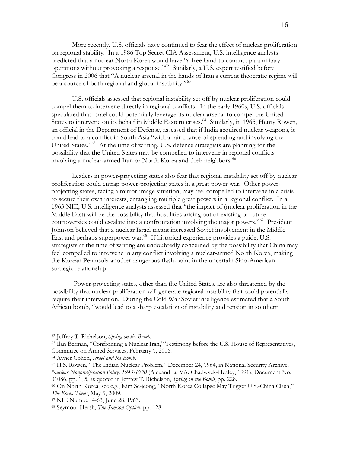More recently, U.S. officials have continued to fear the effect of nuclear prolifer ation on regional stability. In a 1986 Top Secret CIA Assessment, U.S. intelligence analysts predicted that a nuclear North Korea would have "a free hand to conduct paramilitary operations without provoking a response."<sup>[62](#page-19-0)</sup> Similarly, a U.S. expert testified before Congress in 2006 that "A nuclear arsenal in the hands of Iran's current theocratic regime will be a so[u](#page-19-1)rce of both regional and global instability."<sup>[63](#page-19-1)</sup>

[U.S. officials assessed that regional instability set off by nuclear proliferation coul](#page-19-1)d [States to intervene on its behalf in Middle Eastern crises.](#page-19-1)<sup>64</sup> [Similarly, in 1965,](#page-19-2) Henry Rowen, [an official in the Department of Defense, assessed that if India acquired nuclear weap](#page-19-2)ons, it [could lead to a conflict in South Asia "with a fair chance of spreading and involving th](#page-19-2)e [United States."](#page-19-2)<sup>65</sup> [At the time of writing, U.S. defense strategists are plan](#page-19-3)ning for the possibility that the United States may be compelled to intervene in regional conflicts involving a nuclear-armed Iran or North Korea and their neighbors.  $66$ [compel them to intervene directly in regional conflicts. In the early 1960s, U.S. officials](#page-19-1)  [speculated that Israel could potentially leverage its nuclear arsenal to compel the United](#page-19-1) 

to secure their own interests, entangling multiple great powers in a regional conflict. In a strategists at the time of writing are undoubtedly concerned by the possibility that China may feel compelled to intervene in any conflict involving a nuclear-armed North Korea, making the Korean Peninsula another dangerous flash-point in the uncertain Sino-American strategi c relationship. Leaders in power-projecting states also fear that regional instability set off by nuclear proliferation could entrap power-projecting states in a great power war. Other powerprojecting states, facing a mirror-image situation, may feel compelled to intervene in a crisis 1963 NIE, U.S. intelligence analysts assessed that "the impact of (nuclear proliferation in the Middle East) will be the possibility that hostilities arising out of existing or future controversies could escalate into a confrontation involving the major powers."<sup>[67](#page-19-5)</sup> President Johnson believed that a nuclear Israel meant increased Soviet involvement in the Middle East and perhaps superpower war.<sup>[68](#page-19-5)</sup> If historical experience provides a guide, U.S.

possibility that nuclear proliferation will generate regional instability that could potentially Power-projecting states, other than the United States, are also threatened by the require their intervention. During the Cold War Soviet intelligence estimated that a South African bomb, "would lead to a sharp escalation of instability and tension in southern

<span id="page-19-0"></span><sup>62</sup> Jeffrey T. Richelson, *Spying on the Bomb.* 

<sup>63</sup> Ilan Berman, "Confronting a Nuclear Iran," Testimony before the U.S. House of Representatives, Committee on Armed Services, February 1, 2006.

<span id="page-19-1"></span><sup>64</sup> Avner Cohen, *Israel and the Bomb.* 

<span id="page-19-2"></span><sup>&</sup>lt;sup>65</sup> H.S. Rowen, "The Indian Nuclear Problem," December 24, 1964, in National Security Archive, 01086, pp. 1, 5, as quoted in Jeffrey T. Richelson, Spying on the Bomb, pp. 228. *Nuclear Nonproliferation Policy, 1945-1990* (Alexandria: VA: Chadwyck-Healey, 1991), Document No.

<span id="page-19-3"></span><sup>&</sup>lt;sup>66</sup> On North Korea, see e.g., Kim Se-jeong, "North Korea Collapse May Trigger U.S.-China Clash," *The Korea Times*, May 5, 2009.

<span id="page-19-4"></span><sup>67</sup> NIE Number 4-63, June 28, 1963.

<span id="page-19-5"></span><sup>68</sup> Seymour Hersh, *The Samson Option,* pp. 128.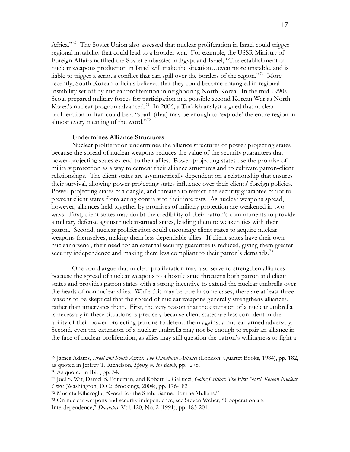Africa."<sup>[69](#page-20-0)</sup> The Soviet Union also assessed that nuclear proliferation in Israel could trigger regional instability that could lead to a broader war.For example, the USSR Ministry of Foreign Affairs notified the Soviet embassies in Egypt and Israel, "The establishment of nuclear weapons production in Israel will make the situation…even more unstable, and is liable to trigger a serious conflict that can spill over the borders of the region."<sup>[70](#page-20-1)</sup> More instability set off by nuclear proliferation in neighboring North Korea. In the mid-1990s, Korea's nuclear program advanced.<sup>[71](#page-20-2)</sup> In 2006, a Turkish analyst argued that nuclear proliferation in Iran could be a "spark (that) may be enough to 'explode' the entire region in almost every meaning of the word."<sup>72</sup> recently, South Korean officials believed that they could become entangled in regional Seoul prepared military forces for participation in a possible second Korean War as North

#### **Undermines Alliance Structures**

their survival, allowing power-projecting states influence over their clients' foreign policies. Power-projecting states can dangle, and threaten to retract, the security guarantee carrot to however, alliances held together by promises of military protection are weakened in two ways. First, client states may doubt the credibility of their patron's commitments to provide weapons themselves, making them less dependable allies. If client states have their own nuclear arsenal, their need for an external security guarantee is reduced, giving them greater security independence and making them less compliant to their patron's demands.<sup>[73](#page-21-0)</sup> Nuclear proliferation undermines the alliance structures of power-projecting states because the spread of nuclear weapons reduces the value of the security guarantees that power-projecting states extend to their allies. Power-projecting states use the promise of military protection as a way to cement their alliance structures and to cultivate patron-client relationships. The client states are asymmetrically dependent on a relationship that ensures prevent client states from acting contrary to their interests. As nuclear weapons spread, a military defense against nuclear-armed states, leading them to weaken ties with their patron. Second, nuclear proliferation could encourage client states to acquire nuclear

states and provides patron states with a strong incentive to extend the nuclear umbrella over reasons to be skeptical that the spread of nuclear weapons generally strengthens alliances, the face of nuclear proliferation, as allies may still question the patron's willingness to fight a One could argue that nuclear proliferation may also serve to strengthen alliances because the spread of nuclear weapons to a hostile state threatens both patron and client the heads of nonnuclear allies. While this may be true in some cases, there are at least three rather than innervates them. First, the very reason that the extension of a nuclear umbrella is necessary in these situations is precisely because client states are less confident in the ability of their power-projecting patrons to defend them against a nuclear-armed adversary. Second, even the extension of a nuclear umbrella may not be enough to repair an alliance in

1

<span id="page-20-0"></span>*th Africa: The Unnatural Alliance* (London: Quartet Books, 1984), pp. 182, 69 James Adams, *Israel and Sou* as quoted in Jeffrey T. Richelson, *Spying on the Bomb*, pp. 278.

<span id="page-20-1"></span><sup>70</sup> As quoted in Ibid, pp. 34.

<span id="page-20-2"></span>*l: The First North Korean Nuclear*  71 Joel S. Wit, Daniel B. Poneman, and Robert L. Gallucci, *Going Critica Crisis* (Washington, D.C.: Brookings, 2004), pp. 176-182

<sup>72</sup> Mustafa Kibaroglu, "Good for the Shah, Banned for the Mullahs."

<sup>73</sup> On nuclear weapons and security independence, see Steven Weber, "Cooperation and Interdependence," *Daedalus,* Vol. 120, No. 2 (1991), pp. 183-201.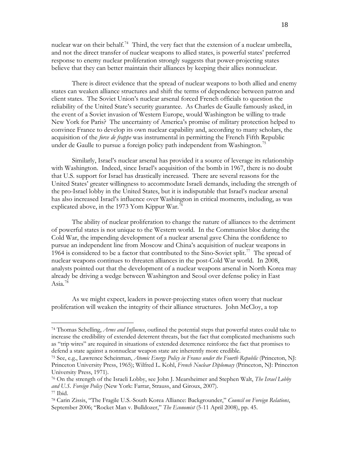nuclear war on their behalf.<sup>[74](#page-21-0)</sup> Third, the very fact that the extension of a nuclear umbrella, and not the direct transfer of nuclear weapons to allied states, is powerful states' preferr ed response to enemy nuclear proliferation strongly suggests that power-projecting states believe that they can better maintain their alliances by keeping their allies nonnuclear.

states can weaken alliance structures and shift the terms of dependence between patron and reliability of the United State's security guarantee. As Charles de Gaulle famously asked, in convince France to develop its own nuclear capability and, according to many scholars, the acquisition of the *force de frappe* was instrumental in permitting the French Fifth Republic under de Gaulle to pursue a foreign policy path independent from Washington.<sup>75</sup> There is direct evidence that the spread of nuclear weapons to both allied and enemy client states. The Soviet Union's nuclear arsenal forced French officials to question the the event of a Soviet invasion of Western Europe, would Washington be willing to trade New York for Paris? The uncertainty of America's promise of military protection helped to

with Washington. Indeed, since Israel's acquisition of the bomb in 1967, there is no doubt United States' greater willingness to accommodate Israeli demands, including the strength of has also increased Israel's influence over Washington in critical moments, including, as was explicated above, in the 1973 Yom Kippur War.<sup>76</sup> Similarly, Israel's nuclear arsenal has provided it a source of leverage its relationship that U.S. support for Israel has drastically increased. There are several reasons for the the pro-Israel lobby in the United States, but it is indisputable that Israel's nuclear arsenal

The ability of nuclear proliferation to change the nature of alliances to the detriment 1964 is considered to be a factor that contributed to the Sino-Soviet split.<sup>[77](#page-21-1)</sup> The spread of analysts pointed out that the development of a nuclear weapons arsenal in North Korea may already be driving a wedge between Washington and Seoul over defense policy in East Asia.<sup>78</sup> of powerful states is not unique to the Western world. In the Communist bloc during the Cold War, the impending development of a nuclear arsenal gave China the confidence to pursue an independent line from Moscow and China's acquisition of nuclear weapons in nuclear weapons continues to threaten alliances in the post-Cold War world. In 2008,

As we might expect, leaders in power-projecting states often worry that nuclear proliferation will weaken the integrity of their alliance structures. John McCloy, a top

<span id="page-21-0"></span><sup>74</sup> Thomas Schelling, *Arms and Influence*, outlined the potential steps that powerful states could take to increase the credibility of extended deterrent threats, but the fact that complicated mechanisms such as "trip wires" are required in situations of extended deterrence reinforce the fact that promises to defend a state against a nonnuclear weapon state are inherently more credible.

<sup>75</sup> See, e.g., Lawrence Scheinman, *Atomic Energy Policy in France under the Fourth Republic* (Princeton, NJ: Princeton University Press, 1965); Wilfred L. Kohl, *French Nuclear Diplomacy* (Princeton, NJ: Princeton University Press, 1971).

<sup>76</sup> On the strength of the Israeli Lobby, see John J. Mearsheimer and Stephen Walt, *The Israel Lobby and U.S. Foreign Policy* (New York: Farrar, Strauss, and Giroux, 2007).

<span id="page-21-1"></span><sup>77</sup> Ibid.

<sup>78</sup> Carin Zissis, "The Fragile U.S.-South Korea Alliance: Backgrounder," *Council on Foreign Relations*, September 2006; "Rocket Man v. Bulldozer," *The Economist* (5-11 April 2008), pp. 45.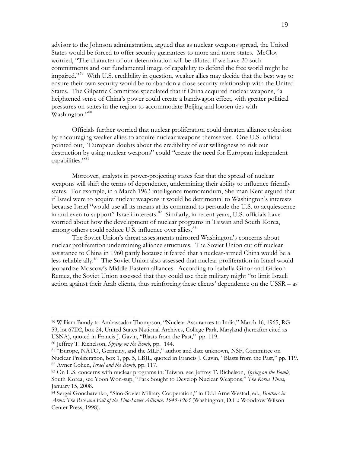advisor to the Johnson administration, argued that as nuclear weapons spread, the United States would be forced to offer security guarantees to more and more states. McCloy worried, "The character of our determination will be diluted if we have 20 such commitments and our fundamental image of capability to defend the free world might b e impaired."<sup>[79](#page-22-0)</sup> With U.S. credibility in question, weaker allies may decide that the best way to ensure their own security would be to abandon a close security relationship with the United States. The Gilpatric Committee speculated that if China acquired nuclear weapons, "a heightened sense of China's power could create a bandwagon effect, with greater political pressur es on states in the region to accommodate Beijing and loosen ties with Washington."<sup>[80](#page-22-1)</sup>

by encouraging weaker allies to acquire nuclear weapons themselves. One U.S. official pointed out, "European doubts about the credibility of our willingness to risk our destruction by using nuclear weapons" could "create the need for European independent Officials further worried that nuclear proliferation could threaten alliance cohesion capabilities."<sup>[81](#page-22-2)</sup>

states. For example, in a March 1963 intelligence memorandum, Sherman Kent argued that if Israel were to acquire nuclear weapons it would be detrimental to Washington's interests because Israel "would use all its means at its command to persuade the U.S. to acquiescence in and even to support" Israeli interests. $82$  Similarly, in recent years, U.S. officials have Moreover, analysts in power-projecting states fear that the spread of nuclear weapons will shift the terms of dependence, undermining their ability to influence friendly worried about how the development of nuclear programs in Taiwan and South Korea, among others could reduce U.S. influence over allies.<sup>[83](#page-23-0)</sup>

[Remez, the Soviet Union assessed that they could use their military](#page-23-0) might "to limit Israeli action against their Arab clients, thus reinforcing these clients' dependence on the USSR – as [The Soviet Union's threat assessments mirrored Washington's concerns about](#page-23-0)  [nuclear proliferation undermining alliance structures. The Soviet Union cut off nuclear](#page-23-0)  [assistance to China in 1960 partly because it feared that a nuclear-armed China would be a](#page-23-0)  less reliable ally.<sup>84</sup> The Soviet Union also assessed that nuclear proliferation in Israel would [jeopardize Moscow's Middle Eastern alliances. According to Isaballa Ginor and Gideon](#page-23-0) 

<span id="page-22-0"></span><sup>79</sup> William Bundy to Ambassador Thompson, "Nuclear Assurances to India," March 16, 1965, RG 59, lot 67D2, box 24, United States National Archives, College Park, Maryland (hereafter cited as USNA), quoted in Francis J. Gavin, "Blasts from the Past," pp. 119.

<sup>80</sup> Jeffrey T. Richelson, *Spying on the Bomb*, pp. 144.

<span id="page-22-1"></span><sup>&</sup>lt;sup>81</sup> "Europe, NATO, Germany, and the MLF," author and date unknown, NSF, Committee on Nuclear Proliferation, box 1, pp. 5, LBJL, quoted in Francis J. Gavin, "Blasts from the Past," pp. 119. 82 Avner Cohen, *Israel and the Bomb,* pp. 117.

<span id="page-22-2"></span><sup>83</sup> On U.S. concerns with nuclear programs in: Taiwan, see Jeffrey T. Richelson, Spying on the Bomb; South Korea, see Yoon Won-sup, "Park Sought to Develop Nuclear Weapons," *The Korea Times,*  January 15, 2008.

<span id="page-22-3"></span><sup>84</sup> Sergei Goncharenko, "Sino-Soviet Military Cooperation," in Odd Arne Westad, ed., *Brothers in Arms: The Rise and Fall of the Sino-Soviet Alliance, 1945-1963* (Washington, D.C.: Woodrow Wilson Center Press, 1998).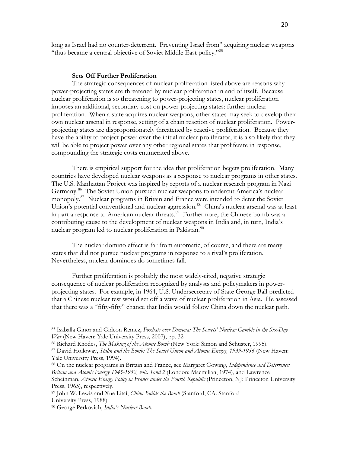long as Israel had no counter-deterrent. Preventing Israel from" acquiring nuclear weapons "thus became a central objective of Soviet Middle East policy."85

#### **Sets Off Further Proliferation**

proliferation. When a state acquires nuclear weapons, other states may seek to develop their own nuclear arsenal in response, setting of a chain reaction of nuclear proliferation. Powerprojecting states are disproportionately threatened by reactive proliferation. Because they have th e ability to project power over the initial nuclear proliferator, it is also likely that they The strategic consequences of nuclear proliferation listed above are reasons why power-projecting states are threatened by nuclear proliferation in and of itself. Because nuclear proliferation is so threatening to power-projecting states, nuclear proliferation imposes an additional, secondary cost on power-projecting states: further nuclear will be able to project power over any other regional states that proliferate in response, compounding the strategic costs enumerated above.

There is empirical support for the idea that proliferation begets proliferation. Many The U.S. Manhattan Project was inspired by reports of a nuclear research program in Nazi monopoly.<sup>[87](#page-23-2)</sup> Nuclear programs in Britain and France were intended to deter the Soviet Union's potential conventional and nuclear aggression.<sup>88</sup> China's nuclear arsenal was at least in part a response to American nuclear threats.<sup>89</sup> Furthermore, the Chinese bomb was a contributing cause to the development of nuclear weapons in India and, in turn, India's nuclear program led to nuclear proliferation in Pakistan.<sup>90</sup> countries have developed nuclear weapons as a response to nuclear programs in other states. Germany.<sup>[86](#page-23-1)</sup> The Soviet Union pursued nuclear weapons to undercut America's nuclear

The nuclear domino effect is far from automatic, of course, and there are many states that did not pursue nuclear programs in response to a rival's proliferation. Nevertheless, nuclear dominoes do sometimes fall.

that a Chinese nuclear test would set off a wave of nuclear proliferation in Asia. He assessed that there was a "fifty-fifty" chance that India would follow China down the nuclear path. Further proliferation is probably the most widely-cited, negative strategic consequence of nuclear proliferation recognized by analysts and policymakers in powerprojecting states. For example, in 1964, U.S. Undersecretary of State George Ball predicted

<span id="page-23-0"></span><sup>85</sup> Isaballa Ginor and Gideon Remez, *Foxbats over Dimona: The Soviets' Nuclear Gamble in the Six-Day War* (New Haven: Yale University Press, 2007), pp. 32

<span id="page-23-1"></span><sup>86</sup> Richard Rhodes, *The Making of the Atomic Bomb* (New York: Simon and Schuster, 1995).

<span id="page-23-2"></span><sup>87</sup> David Holloway, Stalin and the Bomb: The Soviet Union and Atomic Energy, 1939-1956 (New Haven: Yale University Press, 1994).

<sup>88</sup> On the nuclear programs in Britain and France, see Margaret Gowing, Independence and Deterrence: Britain and Atomic Energy 1945-1952, vols. 1and 2 (London: Macmillan, 1974), and Lawrence Scheinman, *Atomic Energy Policy in France under the Fourth Republic* (Princeton, NJ: Princeton University Press, 1965), respectively.

<sup>89</sup> John W. Lewis and Xue Litai, *China Builds the Bomb* (Stanford, CA: Stanford University Press, 1988).

<sup>&</sup>lt;sup>90</sup> George Perkovich, India's Nuclear Bomb.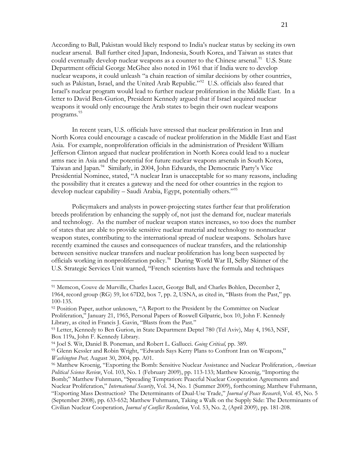According to Ball, Pakistan would likely respond to India's nuclear status by seeking its own nuclear arsenal. Ball further cited Japan, Indonesia, South Korea, and Taiwan as states th at could eventually develop nuclear weapons as a counter to the Chinese arsenal.<sup>[91](#page-24-0)</sup> U.S. State nuclear weapons, it could unleash "a chain reaction of similar decisions by other countries, such as Pakistan, Israel, and the United Arab Republic."<sup>92</sup> U.S. officials also feared that Israel's nuclear program would lead to further nuclear proliferation in the Middle East. In a letter to David Ben-Gurion, President Kennedy argued that if Israel acquired nuclear Department official George McGhee also noted in 1961 that if India were to develop weapons it would only encourage the Arab states to begin their own nuclear weapons programs.<sup>[93](#page-24-1)</sup>

North Korea could encourage a cascade of nuclear proliferation in the Middle East and East Jefferson Clinton argued that nuclear proliferation in North Korea could lead to a nuclear arms race in Asia and the potential for future nuclear weapons arsenals in South Korea, Taiwan and Japan.<sup>94</sup> Similarly, in 2004, John Edwards, the Democratic Party's Vice Presidential Nominee, stated, "A nuclear Iran is unacceptable for so many reasons, including In recent years, U.S. officials have stressed that nuclear proliferation in Iran and Asia. For example, nonproliferation officials in the administration of President William the possibility that it creates a gateway and the need for other countries in the region to develo[p](#page-24-2) nuclear capability – Saudi Arabia, Egypt, potentially others."<sup>[95](#page-24-2)</sup>

[and technology. As the number of nuclear weapon states increases, so too does the num](#page-24-2)ber [weapon states, contributing to the international spread of nuclear weapons. Scholars hav](#page-24-2)e officials working in nonproliferation policy.<sup>[96](#page-24-2)</sup> During World War II, Selby Skinner of the U.S. Strategic Services Unit warned, "French scientists have the formula and techniques [Policymakers and analysts in power-projecting states further fear that proliferation](#page-24-2)  [breeds proliferation by enhancing the supply of, not just the demand for, nuclear materials](#page-24-2) [of states that are able to provide sensitive nuclear material and technology to nonnuclear](#page-24-2)  [recently examined the causes and consequences of nuclear transfers, and the relationship](#page-24-2)  [between sensitive nuclear transfers and nuclear proliferation has long been suspected by](#page-24-2) 

<span id="page-24-0"></span><sup>91</sup> Memcon, Couve de Murville, Charles Lucet, George Ball, and Charles Bohlen, December 2, 1964, record group (RG) 59, lot 67D2, box 7, pp. 2, USNA, as cited in, "Blasts from the Past," pp. 100-135.

<sup>92</sup> Position Paper, author unknown, "A Report to the President by the Committee on Nuclear Proliferation," January 21, 1965, Personal Papers of Roswell Gilpatric, box 10, John F. Kennedy Library, as cited in Francis J. Gavin, "Blasts from the Past."

<sup>93</sup> Letter, Kennedy to Ben Gurion, in State Department Deptel 780 (Tel Aviv), May 4, 1963, NSF, Box 119a, John F. Kennedy Library.

<span id="page-24-1"></span><sup>94</sup> Joel S. Wit, Daniel B. Poneman, and Robert L. Gallucci. *Going Critical,* pp. 389.

<sup>95</sup> Glenn Kessler and Robin Wright, "Edwards Says Kerry Plans to Confront Iran on Weapons," *Washington Post,* August 30, 2004, pp. A01.

<span id="page-24-2"></span><sup>96</sup> Matthew Kroenig, "Exporting the Bomb: Sensitive Nuclear Assistance and Nuclear Proliferation, *American Political Science Review*, Vol. 103, No. 1 (February 2009), pp. 113-133; Matthew Kroenig, "Importing the Bomb;" Matthew Fuhrmann, "Spreading Temptation: Peaceful Nuclear Cooperation Agreements and Nuclear Proliferation," *International Security*, Vol. 34, No. 1 (Summer 2009), forthcoming; Matthew Fuhrmann, "Exporting Mass Destruction? The Determinants of Dual-Use Trade," Journal of Peace Research, Vol. 45, No. 5 (September 2008), pp. 633-652; Matthew Fuhrmann, Taking a Walk on the Supply Side: The Determinants of Civilian Nuclear Cooperation, *Journal of Conflict Resolution*, Vol. 53, No. 2, (April 2009), pp. 181-208.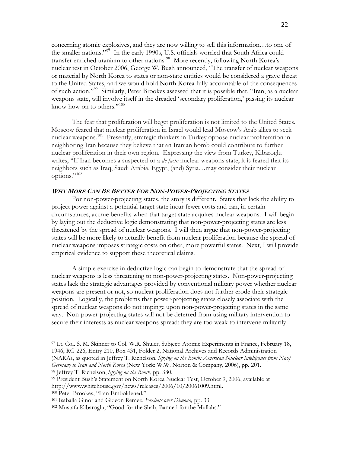[concerning atomic explosives, and they are now willing to sell this information…to one](#page-24-2) of [the smaller nations."](#page-24-2)<sup> $97$ </sup> In the early 1990s, U.S. officials worried that South Africa could [of such action."](#page-25-1)<sup>99</sup> [Similarly, P](#page-25-2)eter Brookes assessed that it is possible that, "Iran, as a nuclear weapons state, will involve itself in the dreaded 'secondary proliferation,' passing its nuclear know-h ow on to others."[100](#page-25-3) [transfer enriched uranium to other nations.](#page-25-0)<sup>98</sup> More recently, following North Korea's [nuclear test in October 2006, George W. Bush announced, "The transfer of nuclear weapons](#page-25-1)  [or material by North Korea to states or non-state entities would be considered a grave threat](#page-25-1)  [to the United States, and we would hold North Korea fully accountable of the consequences](#page-25-1)

The fear that proliferation will beget proliferation is not limited to the United States. Moscow feared that nuclear proliferation in Israel would lead Moscow's Arab allies to seek nuclear weapons.<sup>[101](#page-25-4)</sup> Presently, strategic thinkers in Turkey oppose nuclear proliferation in nuclear proliferation in their own region. Expressing the view from Turkey, Kibaroglu writes, "If Iran becomes a suspected or a *de facto* nuclear weapons state, it is feared that its neighbors such as Iraq, Saudi Arabia, Egypt, (and) Syria...may consider their nuclear neighboring Iran because they believe that an Iranian bomb could contribute to further options."102

#### **WHY MORE CAN BE BETTER FOR NON-POWER-PROJECTING STATES**

states will be more likely to actually benefit from nuclear proliferation because the spread of nuclear weapons imposes strategic costs on other, more powerful states. Next, I will provide empiric al evidence to support these theoretical claims. For non-power-projecting states, the story is different. States that lack the ability to project power against a potential target state incur fewer costs and can, in certain circumstances, accrue benefits when that target state acquires nuclear weapons. I will begin by laying out the deductive logic demonstrating that non-power-projecting states are less threatened by the spread of nuclear weapons. I will then argue that non-power-projecting

states lack the strategic advantages provided by conventional military power whether nuclear A simple exercise in deductive logic can begin to demonstrate that the spread of nuclear weapons is less threatening to non-power-projecting states. Non-power-projecting weapons are present or not, so nuclear proliferation does not further erode their strategic position. Logically, the problems that power-projecting states closely associate with the spread of nuclear weapons do not impinge upon non-power-projecting states in the same way. Non-power-projecting states will not be deterred from using military intervention to secure their interests as nuclear weapons spread; they are too weak to intervene militarily

<span id="page-25-0"></span><sup>97</sup> Lt. Col. S. M. Skinner to Col. W.R. Shuler, Subject: Atomic Experiments in France, February 18, 1946, RG 226, Entry 210, Box 431, Folder 2, National Archives and Records Administration (NARA)**,** as quoted in Jeffrey T. Richelson, *Spying on the Bomb: American Nuclear Intelligence from Nazi Germany to Iran and North Korea* (New York: W.W. Norton & Company, 2006), pp. 201.

<span id="page-25-1"></span><sup>98</sup> Jeffrey T. Richelson, *Spying on the Bomb*, pp. 380.

<span id="page-25-2"></span><sup>99</sup> President Bush's Statement on North Korea Nuclear Test, October 9, 2006, available at http://www.whitehouse.gov/news/releases/2006/10/20061009.html.

<sup>100</sup> Peter Brookes, "Iran Emboldened."

<span id="page-25-3"></span><sup>101</sup> Isaballa Ginor and Gideon Remez, *Foxbats over Dimona,* pp. 33.

<span id="page-25-4"></span><sup>102</sup> Mustafa Kibaroglu, "Good for the Shah, Banned for the Mullahs."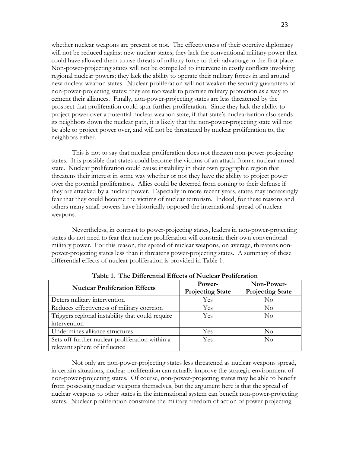whether nuclear weapons are present or not. The effectiveness of their coercive diplomacy will not be reduced against new nuclear states; they lack the conventional military power that could have allowed them to use threats of military force to their advantage in the first plac e. Non-power-projecting states will not be compelled to intervene in costly conflicts involving regional nuclear powers; they lack the ability to operate their military forces in and around new nuclear weapon states. Nuclear proliferation will not weaken the security guarantees of non-power-projecti ng states; they are too weak to promise military protection as a way to cement their alliances. Finally, non-power-projecting states are less threatened by the prospec t that proliferation could spur further proliferation. Since they lack the ability to its neighbors down the nuclear path, it is likely that the non-power-projecting state will not project power over a potential nuclear weapon state, if that state's nuclearization also sends be able to project power over, and will not be threatened by nuclear proliferation to, the neighbors either.

states. It is possible that states could become the victims of an attack from a nuclear-armed state. Nuclear proliferation could cause instability in their own geographic region that threatens their interest in some way whether or not they have the ability to project power over th e potential proliferators. Allies could be deterred from coming to their defense if they are attacked by a nuclear power. Especially in more recent years, states may increasingly This is not to say that nuclear proliferation does not threaten non-power-projecting fear that they could become the victims of nuclear terrorism. Indeed, for these reasons and others many small powers have historically opposed the international spread of nuclear weapons.

Nevertheless, in contrast to power-projecting states, leaders in non-power-projecting states do not need to fear that nuclear proliferation will constrain their own conventional military power. For this reason, the spread of nuclear weapons, on average, threatens nonpower-projecting states less than it threatens power-projecting states. A summary of these differential effects of nuclear proliferation is provided in Table 1.

| <b>Nuclear Proliferation Effects</b>             | Power-<br><b>Projecting State</b> | Non-Power-<br><b>Projecting State</b> |
|--------------------------------------------------|-----------------------------------|---------------------------------------|
| Deters military intervention                     | Yes                               | $\rm No$                              |
| Reduces effectiveness of military coercion       | Yes                               | $\rm No$                              |
| Triggers regional instability that could require | <b>Yes</b>                        | $\rm No$                              |
| intervention                                     |                                   |                                       |
| Undermines alliance structures                   | <b>Yes</b>                        | No                                    |
| Sets off further nuclear proliferation within a  | Yes                               | $\rm No$                              |
| relevant sphere of influence                     |                                   |                                       |

**Table 1. The Differential Effects of Nuclear Proliferation**

Not only are non-power-projecting states less threatened as nuclear weapons spread, in certain situations, nuclear proliferation can actually improve the strategic environment of non-power-projecting states. Of course, non-power-projecting states may be able to bene fit from possessing nuclear weapons themselves, but the argument here is that the spread of nuclear weapons to other states in the international system can benefit non-power-proj ecting states. Nuclear proliferation constrains the military freedom of action of power-projecting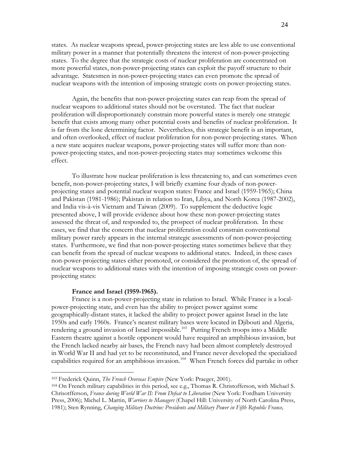states. As nuclear weapons spread, power-projecting states are less able to use conventional military power in a manner that potentially threatens the interest of non-power-projecting states. To the degree that the strategic costs of nuclear proliferation are concentrated on more powerful states, non-power-projecting states can exploit the payoff structure to their advantage. Statesmen in non-power-projecting states can even promote the spread of nuclear weapons with the intention of imposing strategic costs on power-projecting states.

proliferation will disproportionately constrain more powerful states is merely one strategic benefit that exists among many other potential costs and benefits of nuclear proliferation. It is far fr om the lone determining factor. Nevertheless, this strategic benefit is an important, and often overlooked, effect of nuclear proliferation for non-power-projecting states. When Again, the benefits that non-power-projecting states can reap from the spread of nuclear weapons to additional states should not be overstated. The fact that nuclear a new state acquires nuclear weapons, power-projecting states will suffer more than nonpower-projecting states, and non-power-projecting states may sometimes welcome this effect.

To illustrate how nuclear proliferation is less threatening to, and can sometimes even cases, we find that the concern that nuclear proliferation could constrain conventional military power rarely appears in the internal strategic assessments of non-power-projecting states. Furthermore, we find that non-power-projecting states sometimes believe that they can ben efit from the spread of nuclear weapons to additional states. Indeed, in these cases non-power-projecting states either promoted, or considered the promotion of, the spread of nuclear weapons to additional states with the intention of imposing strategic costs on powerbenefit, non-power-projecting states, I will briefly examine four dyads of non-powerprojecting states and potential nuclear weapon states: France and Israel (1959-1965); China and Pakistan (1981-1986); Pakistan in relation to Iran, Libya, and North Korea (1987-2002), and India vis-à-vis Vietnam and Taiwan (2009). To supplement the deductive logic presented above, I will provide evidence about how these non-power-projecting states assessed the threat of, and responded to, the prospect of nuclear proliferation. In these projecting states:

#### **France and Israel (1959-1965).**

 $\overline{a}$ 

the French lacked nearby air bases, the French navy had been almost completely destroyed in World War II and had yet to be reconstituted, and France never developed the specialized capabilities required for an amphibious invasion.<sup>104</sup> When French forces did partake in other France is a non-power-projecting state in relation to Israel. While France is a localpower-projecting state, and even has the ability to project power against some geographically-distant states, it lacked the ability to project power against Israel in the late 1950s and early 1960s. France's nearest military bases were located in Djibouti and Algeria, rendering a ground invasion of Israel impossible.<sup>[103](#page-27-0)</sup> Putting French troops into a Middle Eastern theatre against a hostile opponent would have required an amphibious invasion, but

<span id="page-27-0"></span><sup>103</sup> Frederick Quinn, *The French Overseas Empire* (New York: Praeger, 2001).

<sup>104</sup> On French military capabilities in this period, see e.g., Thomas R. Christofferson, with Michael S. Chrisotfferson, France during World War II: From Defeat to Liberation (New York: Fordham University Press, 2006); Michel L. Martin, *Warriors to Managers* (Chapel Hill: University of North Carolina Press, 1981); Sten Rynning, *Changing Military Doctrine: Presidents and Military Power in Fifth Republic France*,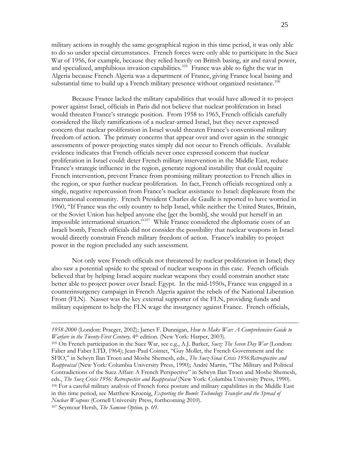military actions in roughly the same geographical region in this time period, it was only a ble to do so under special circumstances. French forces were only able to participate in the Sue z War of 1956, for example, because they relied heavily on British basing, air and naval pow er, and specialized, amphibious invasion capabilities.<sup>105</sup> France was able to fight the war in Algeria because French Algeria was a department of France, giving France local basing and substantial time to build up a French military presence without organized resistance.<sup>[106](#page-28-0)</sup>

Because France lacked the military capabilities that would have allowed it to project concern that nuclear proliferation in Israel would threaten France's conventional military assessments of power-projecting states simply did not occur to French officials. Available single, negative repercussion from France's nuclear assistance to Israel: displeasure from the international community. French President Charles de Gaulle is reported to have worried in impossible international situation."<sup>[107](#page-28-0)</sup> While France considered the diplomatic costs of an Israeli bomb, French officials did not consider the possibility that nuclear weapons in Israel would d irectly constrain French military freedom of action. France's inability to project power against Israel, officials in Paris did not believe that nuclear proliferation in Israel would threaten France's strategic position. From 1958 to 1965, French officials carefully considered the likely ramifications of a nuclear-armed Israel, but they never expressed freedom of action. The primary concerns that appear over and over again in the strategic evidence indicates that French officials never once expressed concern that nuclear proliferation in Israel could: deter French military intervention in the Middle East, reduce France's strategic influence in the region, generate regional instability that could require French intervention, prevent France from promising military protection to French allies in the region, or spur further nuclear proliferation. In fact, French officials recognized only a 1960, "If France was the only country to help Israel, while neither the United States, Britain, or the Soviet Union has helped anyone else [get the bomb], she would put herself in an power in the region precluded any such assessment.

believed that by helping Israel acquire nuclear weapons they could constrain another state military equipment to help the FLN wage the insurgency against France. French officials, Not only were French officials not threatened by nuclear proliferation in Israel; they also saw a potential upside to the spread of nuclear weapons in this case. French officials better able to project power over Israel: Egypt. In the mid-1950s, France was engaged in a counterinsurgency campaign in French Algeria against the rebels of the National Liberation Front (FLN). Nasser was the key external supporter of the FLN, providing funds and

1

*<sup>1958-2000</sup>* (London: Praeger, 2002); James F. Dunnigan, *How to Make War: A Comprehensive Guide to Warfare in the Twenty-First Century,* 4<sup>th</sup> edition. (New York: Harper, 2003).

<span id="page-28-0"></span><sup>105</sup> On French participation in the Suez War, see e.g., A.J. Barker, *Suez: The Seven Day War* (London: Faber and Faber LTD, 1964); Jean-Paul Cointet, "Guy Mollet, the French Government and the SFIO," in Selwyn Ilan Troen and Moshe Shemesh, eds., *The Suez-Sinai Crisis 1956:Retrospective and Reappraisal* (New York: Columbia University Press, 1990); André Martin, "The Military and Political Contradictions of the Suez Affair: A French Perspective" in Selwyn Ilan Troen and Moshe Shemesh, eds., *The Suez Crisis 1956: Retrospective and Reappraisal* (New York: Columbia University Press, 1990). 106 For a careful military analysis of French force posture and military capabilities in the Middle East in this time period, see Matthew Kroenig, *Exporting the Bomb: Technology Transfer and the Spread of Nuclear Weapons* (Cornell University Press, forthcoming 2010). 107 Seymour Hersh, *The Samson Option,* p. 69.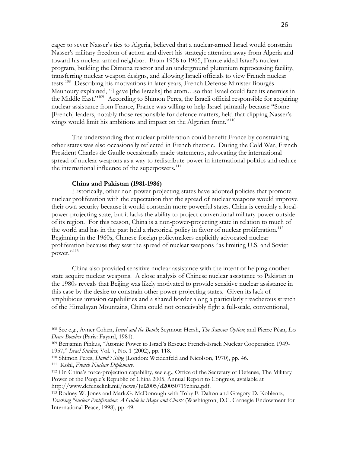eager to sever Nasser's ties to Algeria, believed that a nuclear-armed Israel would constrain Nasser's military freedom of action and divert his strategic attention away from Algeria and toward his nuclear-armed neighbor. From 1958 to 1965, France aided Israel's nuclear program, building the Dimona reactor and an underground plutonium reprocessing facility , transferring nuclear weapon designs, and allowing Israeli officials to view French nuclear tests.<sup>[108](#page-29-0)</sup> Describing his motivations in later years, French Defense Minister Bourgès-Maunoury explained, "I gave [the Israelis] the atom…so that Israel could face its enemies in the Middle East."<sup>[109](#page-29-1)</sup> According to Shimon Peres, the Israeli official responsible for acquiring [French] leaders, notably those responsible for defence matters, held that clipping Nasser's nuclear assistance from France, France was willing to help Israel primarily because "Some wings would limit his ambitions and impact on the Algerian front."<sup>[110](#page-29-1)</sup>

The understanding that nuclear proliferation could benefit France by constraining other states was also occasionally reflected in French rhetoric. During the Cold War, French Preside nt Charles de Gaulle occasionally made statements, advocating the international spread of nuclear weapons as a way to redistribute power in international politics and reduce the international influence of the superpowers.<sup>[111](#page-29-2)</sup>

#### **China and Pakistan (1981-1986)**

Historically, other non-power-projecting states have adopted policies that promote nuclear proliferation with the expectation that the spread of nuclear weapons would improve their own security because it would constrain more powerful states. China is certainly a localpower-projecting state, but it lacks the ability to project conventional military power outside of its region. For this reason, China is a non-power-projecting state in relation to much of the world and has in the past held a rhetorical policy in favor of nuclear proliferation.<sup>[112](#page-30-0)</sup> Beginning in the 1960s, Chinese foreign policymakers explicitly advocated nuclear proliferation because they saw the spread of nuclear weapons "as limiting U.S. and Soviet power."<sup>[113](#page-30-1)</sup>

state acquire nuclear weapons. A close analysis of Chinese nuclear assistance to Pakistan in of the Himalayan Mountains, China could not conceivably fight a full-scale, conventional, China also provided sensitive nuclear assistance with the intent of helping another the 1980s reveals that Beijing was likely motivated to provide sensitive nuclear assistance in this case by the desire to constrain other power-projecting states. Given its lack of amphibious invasion capabilities and a shared border along a particularly treacherous stretch

<span id="page-29-0"></span><sup>108</sup> See e.g., Avner Cohen, *Israel and the Bomb*; Seymour Hersh, *The Samson Option*; and Pierre Péan, *L es Deux Bombes* (Paris: Fayard, 1981).

<sup>109</sup> Benjamin Pinkus, "Atomic Power to Israel's Rescue: French-Israeli Nuclear Cooperation 1949-1957," Israel Studies, Vol. 7, No. 1 (2002), pp. 118.

<sup>&</sup>lt;sup>110</sup> Shimon Peres, *David's Sling* (London: Weidenfeld and Nicolson, 1970), pp. 46. <sup>111</sup> Kohl, *French Nuclear Diplomacy*.

<span id="page-29-1"></span>

<span id="page-29-2"></span> $112$  On China's force-projection capability, see e.g., Office of the Secretary of Defense, The Military Power of the People's Republic of China 2005, Annual Report to Congress, available at http://www.defenselink.mil/news/Jul2005/d20050719china.pdf.

<sup>&</sup>lt;sup>113</sup> Rodney W. Jones and Mark.G. McDonough with Toby F. Dalton and Gregory D. Koblentz, Tracking Nuclear Proliferation: A Guide in Maps and Charts (Washington, D.C. Carnegie Endowment for International Peace, 1998), pp. 49.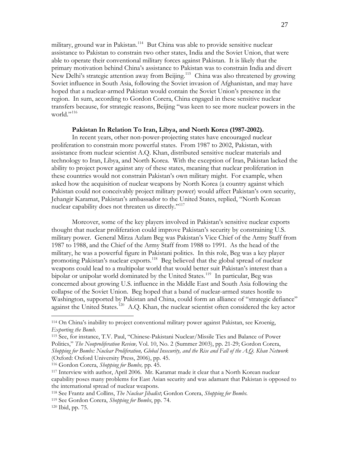military, ground war in Pakistan.<sup>[114](#page-30-2)</sup> But China was able to provide sensitive nuclear assistance to Pakistan to constrain two other states, India and the Soviet Union, that were able to operate their conventional military forces against Pakistan. It is likely that the primary motivation behind China's assistance to Pakistan was to constrain India and div ert New Delhi's strategic attention away from Beijing.<sup>[115](#page-30-2)</sup> China was also threatened by growing Soviet influence in South Asia, following the Soviet invasion of Afghanistan, and may have hoped that a nuclear-armed Pakistan would contain the Soviet Union's presence in the region. In sum, according to Gordon Corera, China engaged in these sensitive nuclear transfers because, for strategic reasons, Beijing "was keen to see more nuclear powers in the world."<sup>[116](#page-30-3)</sup>

#### **Pakistan In Relation To Iran, Libya, and North Korea (1987-2002).**

these countries would not constrain Pakistan's own military might. For example, when asked how the acquisition of nuclear weapons by North Korea (a country against which Pakistan could not conceivably project military power) would affect Pakistan's own security, In recent years, other non-power-projecting states have encouraged nuclear proliferation to constrain more powerful states. From 1987 to 2002, Pakistan, with assistance from nuclear scientist A.Q. Khan, distributed sensitive nuclear materials and technology to Iran, Libya, and North Korea. With the exception of Iran, Pakistan lacked the ability to project power against any of these states, meaning that nuclear proliferation in Jehangir Karamat, Pakistan's ambassador to the United States, replied, "North Korean nuclear [c](#page-30-4)apability does not threaten us directly."<sup>117</sup>

[Moreover, some of the key players involved in Pakistan's sensitive nuclear export](#page-30-4)s . [thought that nuclear proliferation could improve Pakistan's security by constraining U.S](#page-30-4) [military power. General Mirza Azlam Beg was Pakistan's Vice Chief of the Army Staff fro](#page-30-4)m [1987 to 1988, and the Chief of the Army Staff from 1988 to 1991. As the head of th](#page-30-4)e [against the United States.](#page-30-6)<sup>120</sup> [A.Q. Khan, the nuclear scientist often considered the key act](#page-31-0)or [military, he was a powerful figure in Pakistani politics. In this role, Beg was a key player](#page-30-4)  [promoting Pakistan's nuclear exports.](#page-30-4)<sup>118</sup> Beg believed that the global spread of nuclear [weapons could lead to a multipolar world that would better suit Pakistan's interest than a](#page-30-5)  [bipolar or unipolar world dominated by the United States.](#page-30-5)<sup>119</sup> In particular, Beg was [concerned about growing U.S. influence in the Middle East and South Asia following the](#page-30-6)  [collapse of the Soviet Union. Beg hoped that a band of nuclear-armed states hostile to](#page-30-6)  [Washington, supported by Pakistan and China, could form an alliance of "strategic defiance"](#page-30-6) 

<span id="page-30-0"></span><sup>114</sup> On China's inability to project conventional military power against Pakistan, see Kroenig, *Exporting the Bomb.*<br><sup>115</sup> See, for instance, T.V. Paul, "Chinese-Pakistani Nuclear/Missile Ties and Balance of Power

<span id="page-30-1"></span>Shopping for Bombs: Nuclear Proliferation, Global Insecurity, and the Rise and Fall of the A.Q. Khan Network (Oxford: Oxford University Press, 2006), pp. 45. Politics," *The Nonproliferation Review,* Vol. 10, No. 2 (Summer 2003), pp. 21-29; Gordon Corera,

<span id="page-30-2"></span><sup>116</sup> Gordon Corera, *Shopping for Bombs,* pp. 45.

<span id="page-30-3"></span>capability poses many problems for East Asian security and was adamant that Pakistan is opposed to 117 Interview with author, April 2006. Mr. Karamat made it clear that a North Korean nuclear the international spread of nuclear weapons.

<span id="page-30-4"></span><sup>&</sup>lt;sup>118</sup> See Frantz and Collins, *The Nuclear Jihadist*; Gordon Corera, *Shopping for Bombs*.

<span id="page-30-5"></span>*Shopping for Bombs*, pp. 74. 119 See Gordon Corera,

<span id="page-30-6"></span><sup>120</sup> Ibid, pp. 75.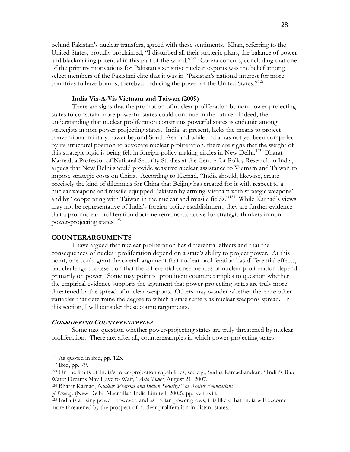[behind Pakistan's nuclear transfers, agreed with these sentiments. Khan, referring to the](#page-31-0)  [United States, proudly proclaimed, "I disturbed all their strategic plans, the balance](#page-31-0) of power and blackmailing potential in this part of the world."<sup>[121](#page-31-0)</sup> Corera concurs, concluding that one of the primary motivations for Pakistan's sensitive nuclear exports was the belief among select m embers of the Pakistani elite that it was in "Pakistan's national interest for more countries to have bombs, thereby... reducing the power of the United States."<sup>[122](#page-31-1)</sup>

#### **India Vis-À-Vis Vietnam and Taiwan (2009)**

by its structural position to advocate nuclear proliferation, there are signs that the weight of nuclear weapons and missile-equipped Pakistan by arming Vietnam with strategic weapons" and by "cooperating with Taiwan in the nuclear and missile fields."124 While Karnad's views may not be representative of India's foreign policy establishment, they are further evidence that a pro-nuclear proliferation doctrine remains attractive for strategic thinkers in non-There are signs that the promotion of nuclear proliferation by non-power-projecting states to constrain more powerful states could continue in the future. Indeed, the understanding that nuclear proliferation constrains powerful states is endemic among strategists in non-power-projecting states. India, at present, lacks the means to project conventional military power beyond South Asia and while India has not yet been compelled this strategic logic is being felt in foreign-policy making circles in New Delhi.<sup>[123](#page-31-2)</sup> Bharat Karnad, a Professor of National Security Studies at the Centre for Policy Research in India, argues that New Delhi should provide sensitive nuclear assistance to Vietnam and Taiwan to impose strategic costs on China. According to Karnad, "India should, likewise, create precisely the kind of dilemmas for China that Beijing has created for it with respect to a power-projecting states.<sup>125</sup>

#### **COUNTERARGUMENTS**

point, one could grant the overall argument that nuclear proliferation has differential effects, but challenge the assertion that the differential consequences of nuclear proliferation depend primarily on power. Some may point to prominent counterexamples to question whether the empirical evidence supports the argument that power-projecting states are truly more threatened by the spread of nuclear weapons. Others may wonder whether there are other variable s that determine the degree to which a state suffers as nuclear weapons spread. In I have argued that nuclear proliferation has differential effects and that the consequences of nuclear proliferation depend on a state's ability to project power. At this this section, I will consider these counterarguments.

#### **CONSIDERING COUNTEREXAMPLES**

Some may question whether power-projecting states are truly threatened by nuclear proliferation. There are, after all, counterexamples in which power-projecting states

 $\overline{a}$ 

<span id="page-31-2"></span>124 Bharat Karnad, *Nuclear Weapons and Indian Security: The Realist Foundations* 

<span id="page-31-0"></span><sup>121</sup> As quoted in ibid, pp. 123. 122 Ibid, pp. 79.

<span id="page-31-1"></span><sup>123</sup> On the limits of India's force-projection capabilities, see e.g., Sudha Ramachandran, "India's Blue Water Dreams May Have to Wait," *Asia Times*, August 21, 2007.

*of Strategy* (New Delhi: Macmillan India Limited, 2002), pp. xvii-xviii.

<sup>125</sup> India is a rising power, however, and as Indian power grows, it is likely that India will become more threatened by the prospect of nuclear proliferation in distant states.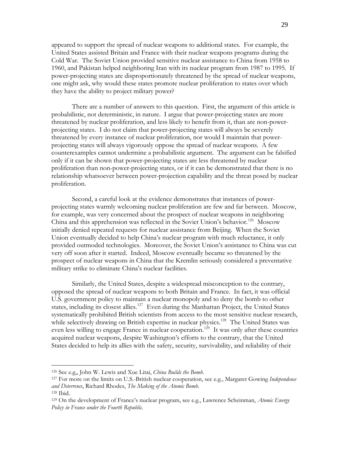appeared to support the spread of nuclear weapons to additional states. For example, the United States assisted Britain and France with their nuclear weapons programs during the Cold War. The Soviet Union provided sensitive nuclear assistance to China from 1958 to 1960, a nd Pakistan helped neighboring Iran with its nuclear program from 1987 to 1995. If power-projecting states are disproportionately threatened by the spread of nuclear weapons, one might ask, why would these states promote nuclear proliferation to states over which they have the ability to project military power?

There are a number of answers to this question. First, the argument of this article is threatened by nuclear proliferation, and less likely to benefit from it, than are non-powerprojecting states will always vigorously oppose the spread of nuclear weapons. A few counterexamples cannot undermine a probabilistic argument. The argument can be falsified only if it can be shown that power-projecting states are less threatened by nuclear relationship whatsoever between power-projection capability and the threat posed by nuclear probabilistic, not deterministic, in nature. I argue that power-projecting states are more projecting states. I do not claim that power-projecting states will always be severely threatened by every instance of nuclear proliferation, nor would I maintain that powerproliferation than non-power-projecting states, or if it can be demonstrated that there is no proliferation.

initially denied repeated requests for nuclear assistance from Beijing. When the Soviet Union eventually decided to help China's nuclear program with much reluctance, it only provided outmoded technologies. Moreover, the Soviet Union's assistance to China was cut prospect of nuclear weapons in China that the Kremlin seriously considered a preventative Second, a careful look at the evidence demonstrates that instances of powerprojecting states warmly welcoming nuclear proliferation are few and far between. Moscow, for example, was very concerned about the prospect of nuclear weapons in neighboring China and this apprehension was reflected in the Soviet Union's behavior.<sup>[126](#page-32-0)</sup> Moscow very off soon after it started. Indeed, Moscow eventually became so threatened by the military strike to eliminate China's nuclear facilities.

systematically prohibited British scientists from access to the most sensitive nuclear research, while selectively drawing on British expertise in nuclear physics.<sup>[128](#page-32-2)</sup> The United States was even less willing to engage France in nuclear cooperation.<sup>129</sup> It was only after these countries acquired nuclear weapons, despite Washington's efforts to the contrary, that the United States decided to help its allies with the safety, security, survivability, and reliability of their Similarly, the United States, despite a widespread misconception to the contrary, opposed the spread of nuclear weapons to both Britain and France. In fact, it was official U.S. government policy to maintain a nuclear monopoly and to deny the bomb to other states, including its closest allies.<sup>[127](#page-32-1)</sup> Even during the Manhattan Project, the United States

<span id="page-32-0"></span><sup>126</sup> See e.g,, John W. Lewis and Xue Litai, *China Builds the Bomb.*

<span id="page-32-1"></span><sup>&</sup>lt;sup>127</sup> For more on the limits on U.S.-British nuclear cooperation, see e.g., Margaret Gowing Independence and Deterrence, Richard Rhodes, *The Making of the Atomic Bomb*.

<span id="page-32-2"></span><sup>128</sup> Ibid.

<sup>129</sup> On the development of France's nuclear program, see e.g., Lawrence Scheinman, *Atomic Energy Policy in France under the Fourth Republic.*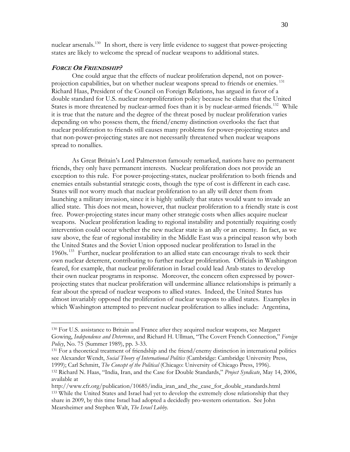nuclear arsenals.<sup>130</sup> In short, there is very little evidence to suggest that power-projecting states are likely to welcome the spread of nuclear weapons to additional states.

#### **FORCE OR FRIENDSHIP?**

1

double standard for U.S. nuclear nonproliferation policy because he claims that the United States is more threatened by nuclear-armed foes than it is by nuclear-armed friends.<sup>132</sup> While it is true that the nature and the degree of the threat posed by nuclear proliferation varies depending on who possess them, the friend/enemy distinction overlooks the fact that nuclear proliferation to friends still causes many problems for power-projecting states and that no n-power-projecting states are not necessarily threatened when nuclear weapons One could argue that the effects of nuclear proliferation depend, not on power-projection capabilities, but on whether nuclear weapons spread to friends or enemies.<sup>[131](#page-33-0)</sup> Richard Haas, President of the Council on Foreign Relations, has argued in favor of a spread to nonallies.

friends, they only have permanent interests. Nuclear proliferation does not provide an exception to this rule. For power-projecting-states, nuclear proliferation to both friends and weapons. Nuclear proliferation leading to regional instability and potentially requiring costly intervention could occur whether the new nuclear state is an ally or an enemy. In fact, as we projecting states that nuclear proliferation will undermine alliance relationships is primarily a almost invariably opposed the proliferation of nuclear weapons to allied states. Examples in As Great Britain's Lord Palmerston famously remarked, nations have no permanent enemies entails substantial strategic costs, though the type of cost is different in each case. States will not worry much that nuclear proliferation to an ally will deter them from launching a military invasion, since it is highly unlikely that states would want to invade an allied state. This does not mean, however, that nuclear proliferation to a friendly state is cost free. Power-projecting states incur many other strategic costs when allies acquire nuclear saw above, the fear of regional instability in the Middle East was a principal reason why both the United States and the Soviet Union opposed nuclear proliferation to Israel in the 1960s.<sup>[133](#page-33-2)</sup> Further, nuclear proliferation to an allied state can encourage rivals to seek their own nuclear deterrent, contributing to further nuclear proliferation. Officials in Washington feared, for example, that nuclear proliferation in Israel could lead Arab states to develop their own nuclear programs in response. Moreover, the concern often expressed by powerfear about the spread of nuclear weapons to allied states. Indeed, the United States has which Washington attempted to prevent nuclear proliferation to allies include: Argentina,

<sup>130</sup> For U.S. assistance to Britain and France after they acquired nuclear weapons, see Margaret Gowing, Independence and Deterrence, and Richard H. Ullman, "The Covert French Connection," Foreign *Policy*, No. 75 (Summer 1989), pp. 3-33.

<span id="page-33-0"></span><sup>131</sup> For a theoretical treatment of friendship and the friend/enemy distinction in international politics see Alexander Wendt, Social Theory of International Politics (Cambridge: Cambridge University Press, 1999); Carl Schmitt, *The Concept of the Political* (Chicago: University of Chicago Press, 1996). 132 Richard N. Haas, "India, Iran, and the Case for Double Standards," *Project Syndicate*, May 14, 2006, available at

<span id="page-33-2"></span><span id="page-33-1"></span>http://www.cfr.org/publication/10685/india\_iran\_and\_the\_case\_for\_double\_standards.html 133 While the United States and Israel had yet to develop the extremely close relationship that they share in 2009, by this time Israel had adopted a decidedly pro-western orientation. See John Mearsheimer and Stephen Walt, *The Israel Lobby.*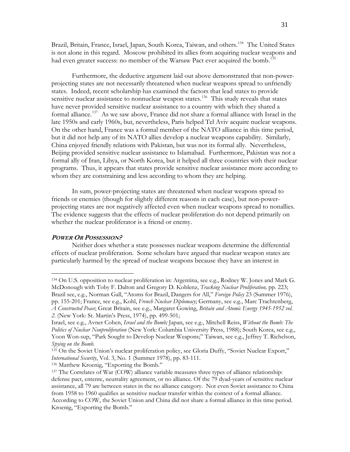Brazil, Britain, France, Israel, Japan, South Korea, Taiwan, and others.<sup>[134](#page-34-0)</sup> The United States is not alone in this regard. Moscow prohibited its allies from acquiring nuclear weapons and had even greater success: no member of the Warsaw Pact ever acquired the bomb.<sup>135</sup>

projecting states are not necessarily threatened when nuclear weapons spread to unfriendly sensitive nuclear assistance to nonnuclear weapon states.<sup>[136](#page-34-1)</sup> This study reveals that states late 1950s and early 1960s, but, nevertheless, Paris helped Tel Aviv acquire nuclear weapons. but it did not help any of its NATO allies develop a nuclear weapons capability. Similarly, programs. Thus, it appears that states provide sensitive nuclear assistance more according to whom they are constraining and less according to whom they are helping. Furthermore, the deductive argument laid out above demonstrated that non-powerstates. Indeed, recent scholarship has examined the factors that lead states to provide have never provided sensitive nuclear assistance to a country with which they shared a formal alliance.<sup>[137](#page-34-2)</sup> As we saw above, France did not share a formal alliance with Israel in the On the other hand, France was a formal member of the NATO alliance in this time period, China enjoyed friendly relations with Pakistan, but was not its formal ally. Nevertheless, Beijing provided sensitive nuclear assistance to Islamabad. Furthermore, Pakistan was not a formal ally of Iran, Libya, or North Korea, but it helped all three countries with their nuclear

. projecting states are not negatively affected even when nuclear weapons spread to nonallies The evidence suggests that the effects of nuclear proliferation do not depend primarily on whether the nuclear proliferator is a friend or enemy. In sum, power-projecting states are threatened when nuclear weapons spread to friends or enemies (though for slightly different reasons in each case), but non-power-

#### **POWER OR POSSESSION?**

 $\overline{a}$ 

effects of nuclear proliferation. Some scholars have argued that nuclear weapon states are Neither does whether a state possesses nuclear weapons determine the differential particularly harmed by the spread of nuclear weapons because they have an interest in

<span id="page-34-1"></span>136 Matthew Kroenig, "Exporting the Bomb."

<span id="page-34-0"></span><sup>134</sup> On U.S. opposition to nuclear proliferation in: Argentina, see e.g., Rodney W. Jones and Mark G. McDonough with Toby F. Dalton and Gregory D. Koblenz, *Tracking Nuclear Proliferation,* pp. 223; Brazil see, e.g., Norman Gall, "Atoms for Brazil, Dangers for All," *Foreign Policy* 23 (Summer 1976), pp. 155-201; France, see e.g., Kohl, *French Nuclear Diplomacy*; Germany, see e.g., Marc Trachtenberg, *A Constructed Peace*; Great Britain, see e.g., Margaret Gowing, *Britain and Atomic Energy 1945-1952 vol. 2.* (New York: St. Martin's Press, 1974), pp. 499-501;

Politics of Nuclear Nonproliferation (New York: Columbia University Press, 1988); South Korea, see e.g., , Yoon Won-sup, "Park Sought to Develop Nuclear Weapons;" Taiwan, see e.g., Jeffrey T. Richelson Israel, see e.g., Avner Cohen, *Israel and the Bomb;* Japan, see e.g., Mitchell Reiss, *Without the Bomb: The* 

Spying on the Bomb.<br><sup>135</sup> On the Soviet Union's nuclear proliferation policy, see Gloria Duffy, "Soviet Nuclear Export," *International Security*, Vol. 3, No. 1 (Summer 1978), pp. 83-111.

<span id="page-34-2"></span>defense pact, entente, neutrality agreement, or no alliance. Of the 79 dyad-years of sensitive nuclear from 1958 to 1960 qualifies as sensitive nuclear transfer within the context of a formal alliance. 137 The Correlates of War (COW) alliance variable measures three types of alliance relationship: assistance, all 79 are between states in the no alliance category. Not even Soviet assistance to China According to COW, the Soviet Union and China did not share a formal alliance in this time period. Kroenig, "Exporting the Bomb."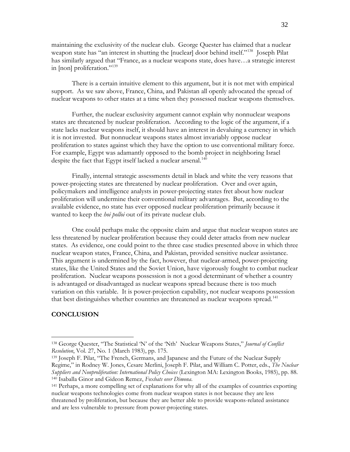maintaining the exclusivity of the nuclear club. George Quester has claimed that a nuclear weapon state has "an interest in shutting the [nuclear] door behind itself." <sup>138</sup> Joseph Pilat has similarly argued that "France, as a nuclear weapons state, does have...a strategic interest in [non] proliferation."<sup>139</sup>

support. As we saw above, France, China, and Pakistan all openly advocated the spread of nuclear weapons to other states at a time when they possessed nuclear weapons themselves. There is a certain intuitive element to this argument, but it is not met with empirical

states are threatened by nuclear proliferation. According to the logic of the argument, if a proliferation to states against which they have the option to use conventional military force. For example, Egypt was adamantly opposed to the bomb project in neighboring Israel despite the fact that Egypt itself lacked a nuclear arsenal.<sup>140</sup> Further, the nuclear exclusivity argument cannot explain why nonnuclear weapons state lacks nuclear weapons itself, it should have an interest in devaluing a currency in which it is not invested. But nonnuclear weapons states almost invariably oppose nuclear

Finally, internal strategic assessments detail in black and white the very reasons that proliferation will undermine their conventional military advantages. But, according to the available evidence, no state has ever opposed nuclear proliferation primarily because it wanted to keep the *hoi polloi* out of its private nuclear club. power-projecting states are threatened by nuclear proliferation. Over and over again, policymakers and intelligence analysts in power-projecting states fret about how nuclear

states. As evidence, one could point to the three case studies presented above in which three states, like the United States and the Soviet Union, have vigorously fought to combat nuclear variation on this variable. It is power-projection capability, not nuclear weapons possession that best distinguishes whether countries are threatened as nuclear weapons spread.<sup>141</sup> One could perhaps make the opposite claim and argue that nuclear weapon states are less threatened by nuclear proliferation because they could deter attacks from new nuclear nuclear weapon states, France, China, and Pakistan, provided sensitive nuclear assistance. This argument is undermined by the fact, however, that nuclear-armed, power-projecting proliferation. Nuclear weapons possession is not a good determinant of whether a country is advantaged or disadvantaged as nuclear weapons spread because there is too much

# **CONCLUSION**

<sup>138</sup> George Quester, "The Statistical 'N' of the 'Nth' Nuclear Weapons States," *Journal of Conflict Resolution*, Vol. 27, No. 1 (March 1983), pp. 175.

<sup>139</sup> Joseph F. Pilat, "The French, Germans, and Japanese and the Future of the Nuclear Supply Regime," in Rodney W. Jones, Cesare Merlini, Joseph F. Pilat, and William C. Potter, eds., *The Nuclear Suppliers and Nonproliferation: International Policy Choices* (Lexington MA: Lexington Books, 1985), pp. 88. 140 Isaballa Ginor and Gideon Remez, *Foxbats over Dimona*. 141 Perhaps, a more compelling set of explanations for why all of the examples of countries exporting

nuclear weapons technologies come from nuclear weapon states is not because they are less threatened by proliferation, but because they are better able to provide weapons-related assistance and are less vulnerable to pressure from power-projecting states.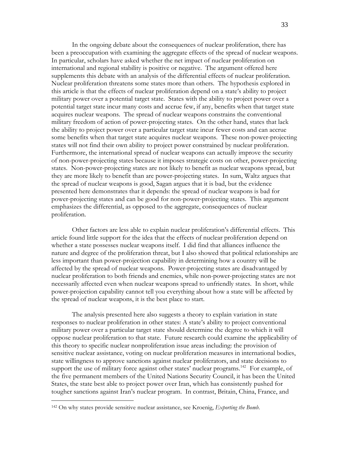In the ongoing debate about the consequences of nuclear proliferation, there has been a preoccupation with examining the aggregate effects of the spread of nuclear weapo ns. In particular, scholars have asked whether the net impact of nuclear proliferation on international and regional stability is positive or negative. The argument offered here supplements this debate with an analysis of the differential effects of nuclear proliferatio n. Nuclear proliferation threatens some states more than others. The hypothesis explored in this article is that the effects of nuclear proliferation depend on a state's ability to project military power over a potential target state. States with the ability to project power over a potential target state incur many costs and accrue few, if any, benefits when that target state acquires nuclear weapons. The spread of nuclear weapons constrains the conventional military freedom of action of power-projecting states. On the other hand, states that lack the ability to project power over a particular target state incur fewer costs and can accrue some benefits when that target state acquires nuclear weapons. These non-power-projectin g states will not find their own ability to project power constrained by nuclear proliferation. Furthermore, the international spread of nuclear weapons can actually improve the security of non-power-projecting states because it imposes strategic costs on other, power-projectin g states. Non-power-projecting states are not likely to benefit as nuclear weapons spread, but they are more lik ely to benefit than are power-projecting states. In sum, Waltz argues that the spread of nuclear weapons is good, Sagan argues that it is bad, but the evidence present ed here demonstrates that it depends: the spread of nuclear weapons is bad for power-projecting states and can be good for non-power-projecting states. This argument emphasizes the differential, as opposed to the aggregate, consequences of nuclear proliferation.

Other factors are less able to explain nuclear proliferation's differential effects. This less important than power-projection capability in determining how a country will be affected by the spread of nuclear weapons. Power-projecting states are disadvantaged by nuclear proliferation to both friends and enemies, while non-power-projecting states are not necessarily affected even when nuclear weapons spread to unfriendly states. In short, while power-projection capability cannot tell you everything about how a state will be affected by article found little support for the idea that the effects of nuclear proliferation depend on whether a state possesses nuclear weapons itself. I did find that alliances influence the nature and degree of the proliferation threat, but I also showed that political relationships are the spread of nuclear weapons, it is the best place to start.

sensitive nuclear assistance, voting on nuclear proliferation measures in international bodies, the five permanent members of the United Nations Security Council, it has been the United States, t he state best able to project power over Iran, which has consistently pushed for The analysis presented here also suggests a theory to explain variation in state responses to nuclear proliferation in other states: A state's ability to project conventional military power over a particular target state should determine the degree to which it will oppose nuclear proliferation to that state. Future research could examine the applicability of this theory to specific nuclear nonproliferation issue areas including: the provision of state willingness to approve sanctions against nuclear proliferators, and state decisions to support the use of military force against other states' nuclear programs.<sup>[142](#page-36-0)</sup> For example, of tougher sanctions against Iran's nuclear program. In contrast, Britain, China, France, and

1

<span id="page-36-0"></span><sup>142</sup> On why states provide sensitive nuclear assistance, see Kroenig, *Exporting the Bomb*.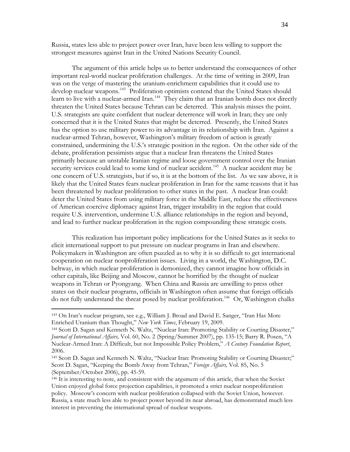Russia, states less able to project power over Iran, have been less willing to support the strongest measures against Iran in the United Nations Security Council.

The argument of this article helps us to better understand the consequences of other important real-world nuclear proliferation challenges. At the time of writing in 2009, Iran was on the verge of mastering the uranium-enrichment capabilities that it could use to develop nuclear weapons.<sup>[143](#page-37-0)</sup> Proliferation optimists contend that the United States should learn to live with a nuclear-armed Iran.<sup>[144](#page-37-1)</sup> They claim that an Iranian bomb does not directly U.S. strategists are quite confident that nuclear deterrence will work in Iran; they are only security services could lead to some kind of nuclear accident.<sup>[145](#page-37-2)</sup> A nuclear accident may be one concern of U.S. strategists, but if so, it is at the bottom of the list. As we saw above, it is likely that the United States fears nuclear proliferation in Iran for the same reasons that it has been threatened by nuclear proliferation to other states in the past. A nuclear Iran could: deter th e United States from using military force in the Middle East, reduce the effectiveness threaten the United States because Tehran can be deterred. This analysis misses the point. concerned that it is the United States that might be deterred. Presently, the United States has the option to use military power to its advantage in its relationship with Iran. Against a nuclear-armed Tehran, however, Washington's military freedom of action is greatly constrained, undermining the U.S.'s strategic position in the region. On the other side of the debate, proliferation pessimists argue that a nuclear Iran threatens the United States primarily because an unstable Iranian regime and loose government control over the Iranian of American coercive diplomacy against Iran, trigger instability in the region that could require U.S. intervention, undermine U.S. alliance relationships in the region and beyond, and lead to further nuclear proliferation in the region compounding these strategic costs.

This realization has important policy implications for the United States as it seeks to weapons in Tehran or Pyongyang. When China and Russia are unwilling to press other states on their nuclear programs, officials in Washington often assume that foreign officials do not fully understand the threat posed by nuclear proliferation.<sup>146</sup> Or, Washington chalks elicit international support to put pressure on nuclear programs in Iran and elsewhere. Policymakers in Washington are often puzzled as to why it is so difficult to get international cooperation on nuclear nonproliferation issues. Living in a world, the Washington, D.C. beltway, in which nuclear proliferation is demonized, they cannot imagine how officials in other capitals, like Beijing and Moscow, cannot be horrified by the thought of nuclear

1

<span id="page-37-0"></span><sup>143</sup> On Iran's nuclear program, see e.g., William J. Broad and David E. Sanger, "Iran Has More Enriched Uranium than Thought," *New York Times*, February 19, 2009.

<span id="page-37-1"></span><sup>144</sup> Scott D. Sagan and Kenneth N. Waltz, "Nuclear Iran: Promoting Stability or Courting Disaster," *Journal of International Affairs,* Vol. 60, No. 2 (Spring/Summer 2007), pp. 135-15; Barry R. Posen, "A Nuclear-Armed Iran: A Difficult, but not Impossible Policy Problem," *A Century Foundation Report*, 2006.

<span id="page-37-2"></span><sup>145</sup> Scott D. Sagan and Kenneth N. Waltz, "Nuclear Iran: Promoting Stability or Courting Disaster;" Scott D. Sagan, "Keeping the Bomb Away from Tehran," *Foreign Affairs,* Vol. 85, No. 5 (September/October 2006), pp. 45-59.

<sup>146</sup> It is interesting to note, and consistent with the argument of this article, that when the Soviet Union enjoyed global force projection capabilities, it promoted a strict nuclear nonproliferation policy. Moscow's concern with nuclear proliferation collapsed with the Soviet Union, however. Russia, a state much less able to project power beyond its near abroad, has demonstrated much less interest in preventing the international spread of nuclear weapons.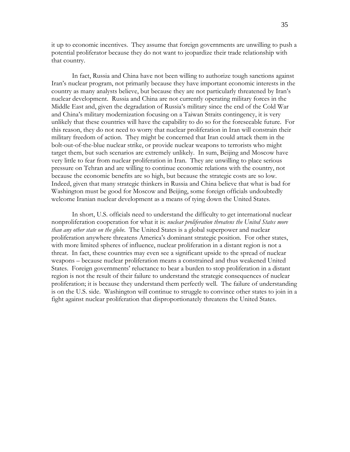it up to economic incentives. They assume that foreign governments are unwilling to push a potential proliferator because they do not want to jeopardize their trade relationship with that country.

In fact, Russia and China have not been willing to authorize tough sanctions against Iran's nuclear program, not primarily because they have important economic interests in the unlikely that these countries will have the capability to do so for the foreseeable future. For this reason, they do not need to worry that nuclear proliferation in Iran will constrain their pressure on Tehran and are willing to continue economic relations with the country, not because the economic benefits are so high, but because the strategic costs are so low. Indeed , given that many strategic thinkers in Russia and China believe that what is bad for country as many analysts believe, but because they are not particularly threatened by Iran's nuclear development. Russia and China are not currently operating military forces in the Middle East and, given the degradation of Russia's military since the end of the Cold War and China's military modernization focusing on a Taiwan Straits contingency, it is very military freedom of action. They might be concerned that Iran could attack them in the bolt-out-of-the-blue nuclear strike, or provide nuclear weapons to terrorists who might target them, but such scenarios are extremely unlikely. In sum, Beijing and Moscow have very little to fear from nuclear proliferation in Iran. They are unwilling to place serious Washington must be good for Moscow and Beijing, some foreign officials undoubtedly welcome Iranian nuclear development as a means of tying down the United States.

In short, U.S. officials need to understand the difficulty to get international nuclear States. Foreign governments' reluctance to bear a burden to stop proliferation in a distant region is not the result of their failure to understand the strategic consequences of nuclear proliferation; it is because they understand them perfectly well. The failure of understanding is on the U.S. side. Washington will continue to struggle to convince other states to join in a fight against nuclear proliferation that disproportionately threatens the United States. nonproliferation cooperation for what it is: *nuclear proliferation threatens the United States more than any other state on the globe*. The United States is a global superpower and nuclear proliferation anywhere threatens America's dominant strategic position. For other states, with more limited spheres of influence, nuclear proliferation in a distant region is not a threat. In fact, these countries may even see a significant upside to the spread of nuclear weapons – because nuclear proliferation means a constrained and thus weakened United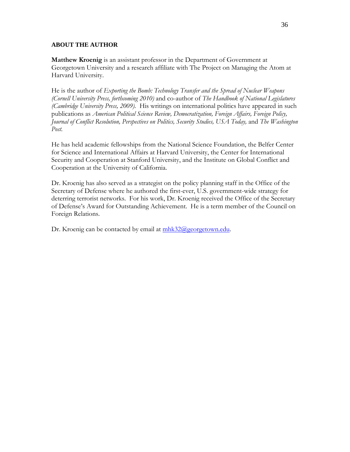# **ABOUT THE AUTHOR**

**Matthew Kroenig** is an assistant professor in the Department of Government at Georgetown University and a research affiliate with The Project on Managing the Atom at Harvard University.

He is the author of *Exporting the Bomb: Technology Transfer and the Spread of Nuclear Weapons (Cornell University Press, forthcoming 2010)* and co-author of *The Handbook of National Legislatures (Cambridge University Press, 2009).* His writings on international politics have appeared in such publications as *American Political Science Review, Democratization, Foreign Affairs, Foreign Policy, Journal of Conflict Resolution, Perspectives on Politics, Security Studies, USA Today, and The Washington Post.*

He has held academic fellowships from the National Science Foundation, the Belfer Center for Science and International Affairs at Harvard University, the Center for International Security and Cooperation at Stanford University, and the Institute on Global Conflict and Cooperation at the University of California.

Dr. Kroenig has also served as a strategist on the policy planning staff in the Office of the Secretary of Defense where he authored the first-ever, U.S. government-wide strategy for deterring terrorist networks. For his work, Dr. Kroenig received the Office of the Secretary of Defense's Award for Outstanding Achievement. He is a term member of the Council on Foreign Relations.

Dr. Kroenig can be contacted by email at [mhk32@georgetown.edu.](mailto:mhk32@georgetown.edu)